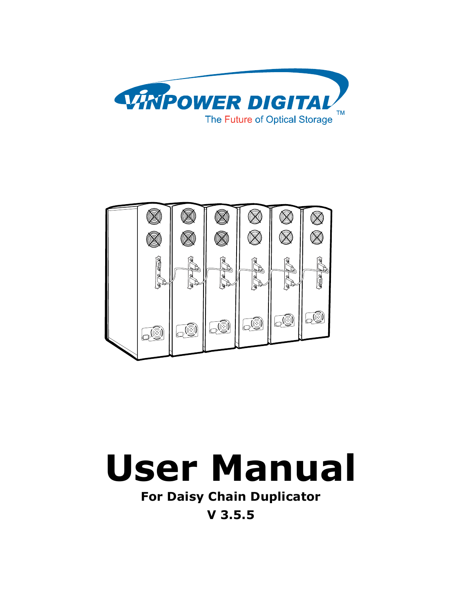





**For Daisy Chain Duplicator**

**V 3.5.5**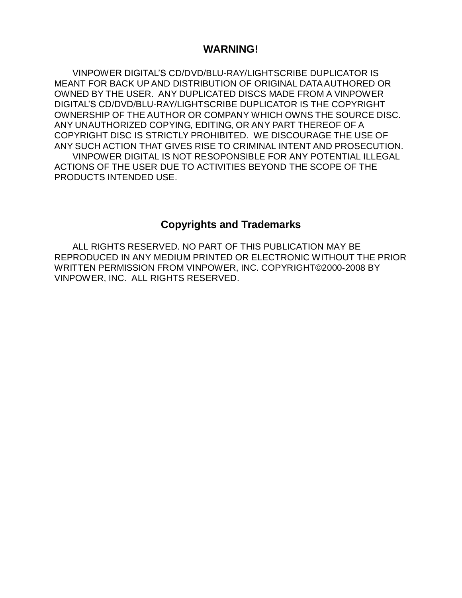### **WARNING!**

VINPOWER DIGITAL'S CD/DVD/BLU-RAY/LIGHTSCRIBE DUPLICATOR IS MEANT FOR BACK UP AND DISTRIBUTION OF ORIGINAL DATA AUTHORED OR OWNED BY THE USER. ANY DUPLICATED DISCS MADE FROM A VINPOWER DIGITAL'S CD/DVD/BLU-RAY/LIGHTSCRIBE DUPLICATOR IS THE COPYRIGHT OWNERSHIP OF THE AUTHOR OR COMPANY WHICH OWNS THE SOURCE DISC. ANY UNAUTHORIZED COPYING, EDITING, OR ANY PART THEREOF OF A COPYRIGHT DISC IS STRICTLY PROHIBITED. WE DISCOURAGE THE USE OF ANY SUCH ACTION THAT GIVES RISE TO CRIMINAL INTENT AND PROSECUTION. VINPOWER DIGITAL IS NOT RESOPONSIBLE FOR ANY POTENTIAL ILLEGAL ACTIONS OF THE USER DUE TO ACTIVITIES BEYOND THE SCOPE OF THE PRODUCTS INTENDED USE.

### **Copyrights and Trademarks**

ALL RIGHTS RESERVED. NO PART OF THIS PUBLICATION MAY BE REPRODUCED IN ANY MEDIUM PRINTED OR ELECTRONIC WITHOUT THE PRIOR WRITTEN PERMISSION FROM VINPOWER, INC. COPYRIGHT©2000-2008 BY VINPOWER, INC. ALL RIGHTS RESERVED.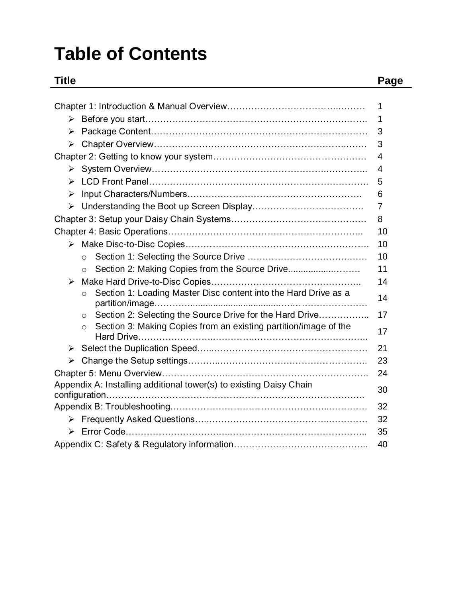# **Table of Contents**

### **Title Page**

|                       |                                                                             | 1  |
|-----------------------|-----------------------------------------------------------------------------|----|
|                       |                                                                             | 1  |
| ➤                     |                                                                             | 3  |
| $\blacktriangleright$ |                                                                             | 3  |
|                       |                                                                             | 4  |
|                       |                                                                             | 4  |
| ➤                     |                                                                             | 5  |
| $\blacktriangleright$ |                                                                             | 6  |
| $\blacktriangleright$ |                                                                             | 7  |
|                       |                                                                             | 8  |
|                       |                                                                             | 10 |
|                       |                                                                             | 10 |
|                       | $\Omega$                                                                    | 10 |
|                       | Section 2: Making Copies from the Source Drive<br>$\Omega$                  | 11 |
| ≻                     |                                                                             | 14 |
|                       | Section 1: Loading Master Disc content into the Hard Drive as a<br>$\circ$  | 14 |
|                       | Section 2: Selecting the Source Drive for the Hard Drive<br>$\circ$         | 17 |
|                       | Section 3: Making Copies from an existing partition/image of the<br>$\circ$ | 17 |
| ≻                     |                                                                             | 21 |
| ➤                     |                                                                             | 23 |
|                       |                                                                             | 24 |
|                       | Appendix A: Installing additional tower(s) to existing Daisy Chain          | 30 |
|                       |                                                                             |    |
|                       |                                                                             | 32 |
|                       |                                                                             | 32 |
|                       |                                                                             | 35 |
|                       |                                                                             | 40 |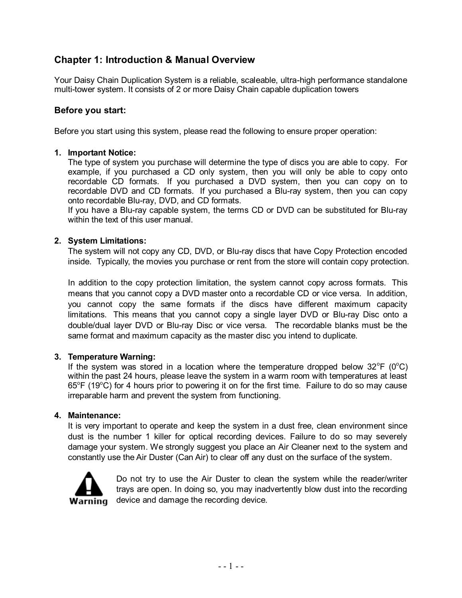### **Chapter 1: Introduction & Manual Overview**

Your Daisy Chain Duplication System is a reliable, scaleable, ultra-high performance standalone multi-tower system. It consists of 2 or more Daisy Chain capable duplication towers

#### **Before you start:**

Before you start using this system, please read the following to ensure proper operation:

#### **1. Important Notice:**

The type of system you purchase will determine the type of discs you are able to copy. For example, if you purchased a CD only system, then you will only be able to copy onto recordable CD formats. If you purchased a DVD system, then you can copy on to recordable DVD and CD formats. If you purchased a Blu-ray system, then you can copy onto recordable Blu-ray, DVD, and CD formats.

If you have a Blu-ray capable system, the terms CD or DVD can be substituted for Blu-ray within the text of this user manual.

#### **2. System Limitations:**

The system will not copy any CD, DVD, or Blu-ray discs that have Copy Protection encoded inside. Typically, the movies you purchase or rent from the store will contain copy protection.

In addition to the copy protection limitation, the system cannot copy across formats. This means that you cannot copy a DVD master onto a recordable CD or vice versa. In addition, you cannot copy the same formats if the discs have different maximum capacity limitations. This means that you cannot copy a single layer DVD or Blu-ray Disc onto a double/dual layer DVD or Blu-ray Disc or vice versa. The recordable blanks must be the same format and maximum capacity as the master disc you intend to duplicate.

#### **3. Temperature Warning:**

If the system was stored in a location where the temperature dropped below  $32^{\circ}F$  (0 $^{\circ}C$ ) within the past 24 hours, please leave the system in a warm room with temperatures at least  $65^{\circ}$ F (19 $^{\circ}$ C) for 4 hours prior to powering it on for the first time. Failure to do so may cause irreparable harm and prevent the system from functioning.

#### **4. Maintenance:**

It is very important to operate and keep the system in a dust free, clean environment since dust is the number 1 killer for optical recording devices. Failure to do so may severely damage your system. We strongly suggest you place an Air Cleaner next to the system and constantly use the Air Duster (Can Air) to clear off any dust on the surface of the system.



Do not try to use the Air Duster to clean the system while the reader/writer trays are open. In doing so, you may inadvertently blow dust into the recording device and damage the recording device.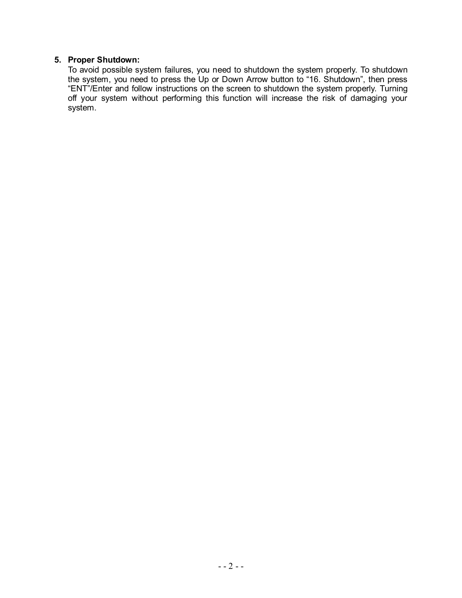#### **5. Proper Shutdown:**

To avoid possible system failures, you need to shutdown the system properly. To shutdown the system, you need to press the Up or Down Arrow button to "16. Shutdown", then press "ENT"/Enter and follow instructions on the screen to shutdown the system properly. Turning off your system without performing this function will increase the risk of damaging your system.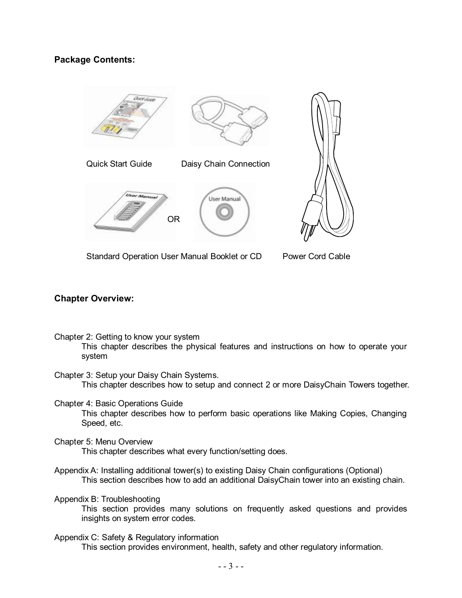### **Package Contents:**



Standard Operation User Manual Booklet or CD

Power Cord Cable

#### **Chapter Overview:**

- Chapter 2: Getting to know your system This chapter describes the physical features and instructions on how to operate your system
- Chapter 3: Setup your Daisy Chain Systems. This chapter describes how to setup and connect 2 or more DaisyChain Towers together.
- Chapter 4: Basic Operations Guide This chapter describes how to perform basic operations like Making Copies, Changing Speed, etc.
- Chapter 5: Menu Overview This chapter describes what every function/setting does.
- Appendix A: Installing additional tower(s) to existing Daisy Chain configurations (Optional) This section describes how to add an additional DaisyChain tower into an existing chain.

Appendix B: Troubleshooting

This section provides many solutions on frequently asked questions and provides insights on system error codes.

Appendix C: Safety & Regulatory information This section provides environment, health, safety and other regulatory information.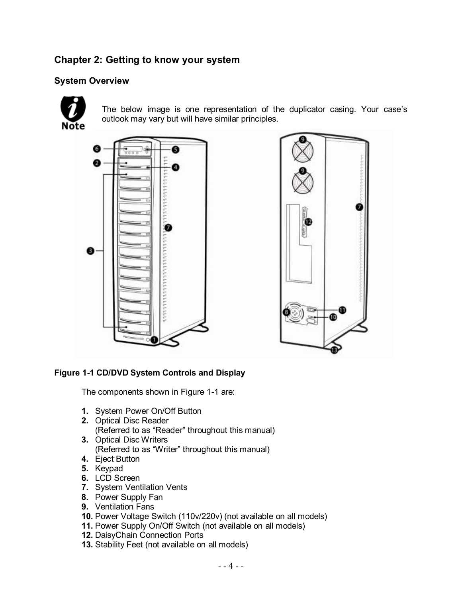### **Chapter 2: Getting to know your system**

### **System Overview**



The below image is one representation of the duplicator casing. Your case's outlook may vary but will have similar principles.





#### **Figure 1-1 CD/DVD System Controls and Display**

The components shown in Figure 1-1 are:

- **1.** System Power On/Off Button
- **2.** Optical Disc Reader (Referred to as "Reader" throughout this manual)
- **3.** Optical Disc Writers

(Referred to as "Writer" throughout this manual)

- **4.** Eject Button
- **5.** Keypad
- **6.** LCD Screen
- **7.** System Ventilation Vents
- **8.** Power Supply Fan
- **9.** Ventilation Fans
- **10.** Power Voltage Switch (110v/220v) (not available on all models)
- **11.** Power Supply On/Off Switch (not available on all models)
- **12.** DaisyChain Connection Ports
- **13.** Stability Feet (not available on all models)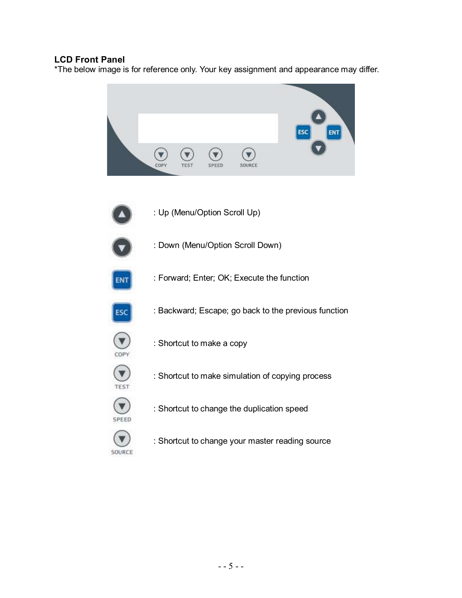### **LCD Front Panel**

\*The below image is for reference only. Your key assignment and appearance may differ.

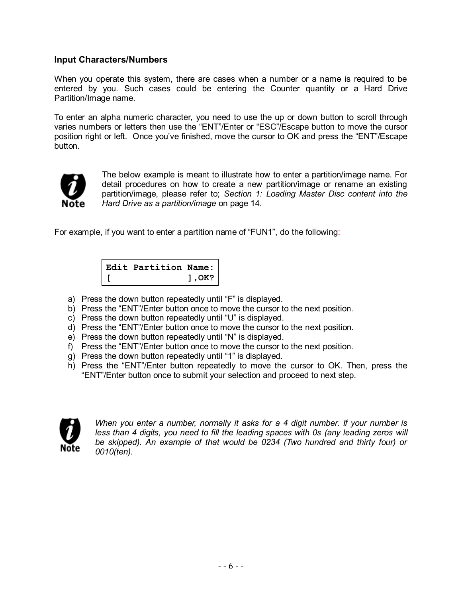#### **Input Characters/Numbers**

When you operate this system, there are cases when a number or a name is required to be entered by you. Such cases could be entering the Counter quantity or a Hard Drive Partition/Image name.

To enter an alpha numeric character, you need to use the up or down button to scroll through varies numbers or letters then use the "ENT"/Enter or "ESC"/Escape button to move the cursor position right or left. Once you've finished, move the cursor to OK and press the "ENT"/Escape button.



The below example is meant to illustrate how to enter a partition/image name. For detail procedures on how to create a new partition/image or rename an existing partition/image, please refer to; *Section 1: Loading Master Disc content into the Hard Drive as a partition/image* on page 14.

For example, if you want to enter a partition name of "FUN1", do the following:

**Edit Partition Name: [ ],OK?**

- a) Press the down button repeatedly until "F" is displayed.
- b) Press the "ENT"/Enter button once to move the cursor to the next position.
- c) Press the down button repeatedly until "U" is displayed.
- d) Press the "ENT"/Enter button once to move the cursor to the next position.
- e) Press the down button repeatedly until "N" is displayed.
- f) Press the "ENT"/Enter button once to move the cursor to the next position.
- g) Press the down button repeatedly until "1" is displayed.
- h) Press the "ENT"/Enter button repeatedly to move the cursor to OK. Then, press the "ENT"/Enter button once to submit your selection and proceed to next step.



*When you enter a number, normally it asks for a 4 digit number. If your number is less than 4 digits, you need to fill the leading spaces with 0s (any leading zeros will be skipped). An example of that would be 0234 (Two hundred and thirty four) or 0010(ten).*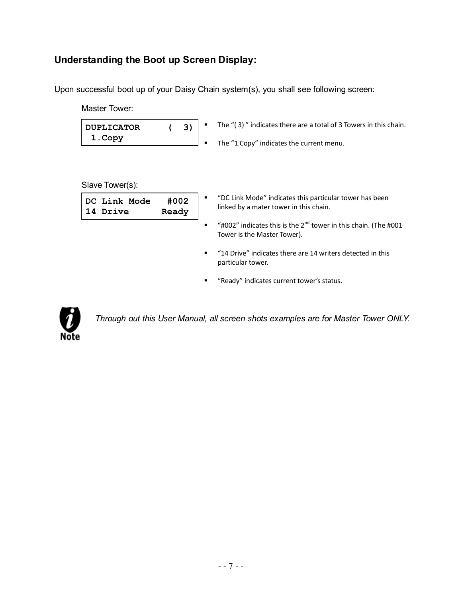## **Understanding the Boot up Screen Display:**

Upon successful boot up of your Daisy Chain system(s), you shall see following screen:

| Master Tower:                      |               |                |                                                                                                              |
|------------------------------------|---------------|----------------|--------------------------------------------------------------------------------------------------------------|
| 3)<br><b>DUPLICATOR</b><br>1. Copy |               |                | The "(3)" indicates there are a total of 3 Towers in this chain.<br>The "1.Copy" indicates the current menu. |
| Slave Tower(s):                    |               |                |                                                                                                              |
| DC Link Mode<br>14 Drive           | #002<br>Ready |                | "DC Link Mode" indicates this particular tower has been<br>linked by a mater tower in this chain.            |
|                                    |               | $\blacksquare$ | "#002" indicates this is the $2^{nd}$ tower in this chain. (The #001<br>Tower is the Master Tower).          |
|                                    |               | ٠              | "14 Drive" indicates there are 14 writers detected in this<br>particular tower.                              |
|                                    |               | ٠              | "Ready" indicates current tower's status.                                                                    |



*Through out this User Manual, all screen shots examples are for Master Tower ONLY.*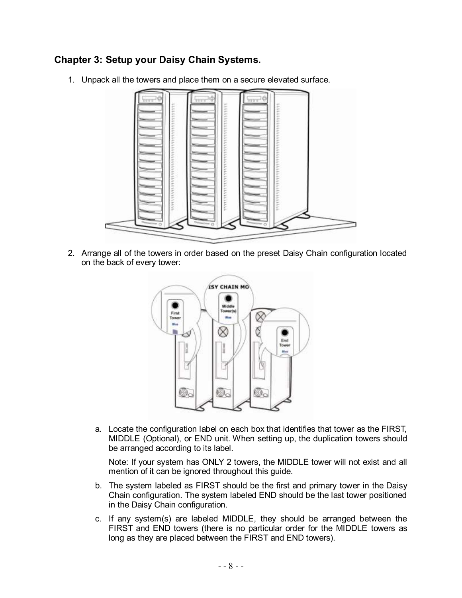### **Chapter 3: Setup your Daisy Chain Systems.**

1. Unpack all the towers and place them on a secure elevated surface.



2. Arrange all of the towers in order based on the preset Daisy Chain configuration located on the back of every tower:



a. Locate the configuration label on each box that identifies that tower as the FIRST, MIDDLE (Optional), or END unit. When setting up, the duplication towers should be arranged according to its label.

Note: If your system has ONLY 2 towers, the MIDDLE tower will not exist and all mention of it can be ignored throughout this guide.

- b. The system labeled as FIRST should be the first and primary tower in the Daisy Chain configuration. The system labeled END should be the last tower positioned in the Daisy Chain configuration.
- c. If any system(s) are labeled MIDDLE, they should be arranged between the FIRST and END towers (there is no particular order for the MIDDLE towers as long as they are placed between the FIRST and END towers).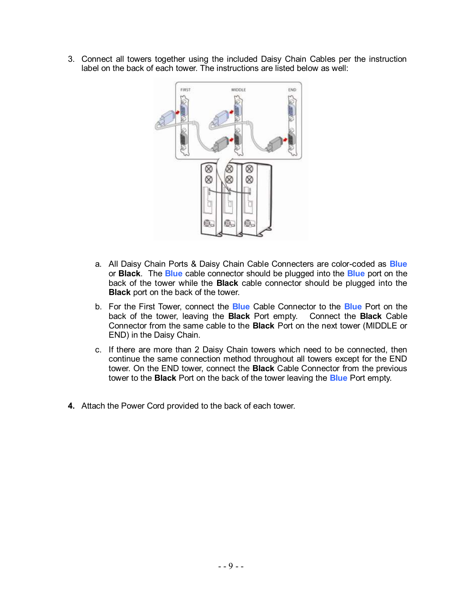3. Connect all towers together using the included Daisy Chain Cables per the instruction label on the back of each tower. The instructions are listed below as well:



- a. All Daisy Chain Ports & Daisy Chain Cable Connecters are color-coded as **Blue** or **Black**. The **Blue** cable connector should be plugged into the **Blue** port on the back of the tower while the **Black** cable connector should be plugged into the **Black** port on the back of the tower.
- b. For the First Tower, connect the **Blue** Cable Connector to the **Blue** Port on the back of the tower, leaving the **Black** Port empty. Connect the **Black** Cable Connector from the same cable to the **Black** Port on the next tower (MIDDLE or END) in the Daisy Chain.
- c. If there are more than 2 Daisy Chain towers which need to be connected, then continue the same connection method throughout all towers except for the END tower. On the END tower, connect the **Black** Cable Connector from the previous tower to the **Black** Port on the back of the tower leaving the **Blue** Port empty.
- **4.** Attach the Power Cord provided to the back of each tower.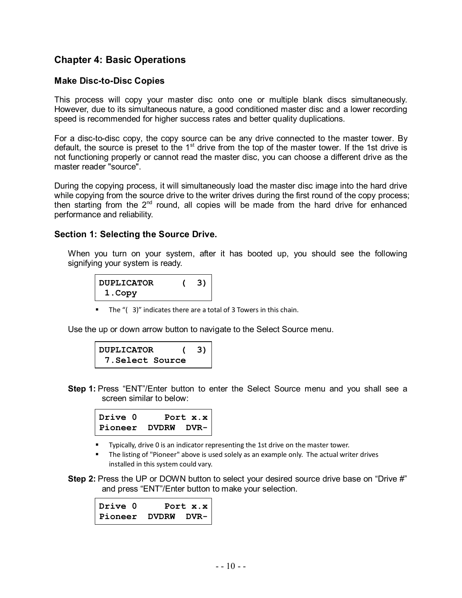### **Chapter 4: Basic Operations**

#### **Make Disc-to-Disc Copies**

This process will copy your master disc onto one or multiple blank discs simultaneously. However, due to its simultaneous nature, a good conditioned master disc and a lower recording speed is recommended for higher success rates and better quality duplications.

For a disc-to-disc copy, the copy source can be any drive connected to the master tower. By default, the source is preset to the 1<sup>st</sup> drive from the top of the master tower. If the 1st drive is not functioning properly or cannot read the master disc, you can choose a different drive as the master reader "source".

During the copying process, it will simultaneously load the master disc image into the hard drive while copying from the source drive to the writer drives during the first round of the copy process; then starting from the  $2^{nd}$  round, all copies will be made from the hard drive for enhanced performance and reliability.

#### **Section 1: Selecting the Source Drive.**

When you turn on your system, after it has booted up, you should see the following signifying your system is ready.

| <b>DUPLICATOR</b> | 3) |
|-------------------|----|
| 1. Copy           |    |

■ The "(3)" indicates there are a total of 3 Towers in this chain.

Use the up or down arrow button to navigate to the Select Source menu.

| DUPLICATOR             |  |
|------------------------|--|
| <b>7.Select Source</b> |  |

**Step 1:** Press "ENT"/Enter button to enter the Select Source menu and you shall see a screen similar to below:

| Drive 0 | Port $x.x$         |
|---------|--------------------|
|         | Pioneer DVDRW DVR- |

- **Typically, drive 0 is an indicator representing the 1st drive on the master tower.**
- The listing of "Pioneer" above is used solely as an example only. The actual writer drives installed in this system could vary.

**Step 2:** Press the UP or DOWN button to select your desired source drive base on "Drive #" and press "ENT"/Enter button to make your selection.

| Drive 0 Port x.x<br>Pioneer DVDRW DVR- |  |
|----------------------------------------|--|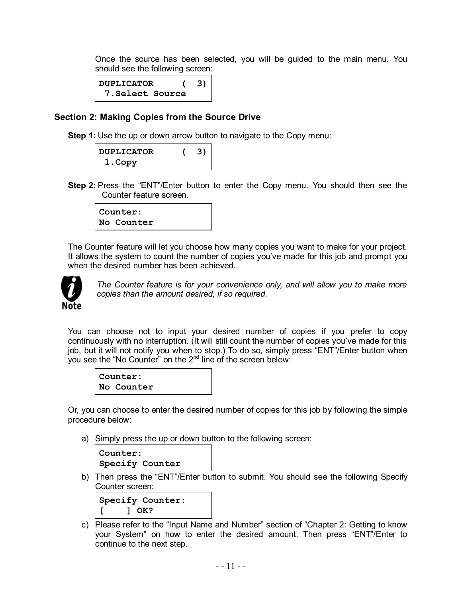Once the source has been selected, you will be guided to the main menu. You should see the following screen:

```
DUPLICATOR ( 3)
 7.Select Source
```
#### **Section 2: Making Copies from the Source Drive**

**Step 1:** Use the up or down arrow button to navigate to the Copy menu:

| <b>DUPLICATOR</b> | 3) |
|-------------------|----|
| 1. Copy           |    |

**Step 2:** Press the "ENT"/Enter button to enter the Copy menu. You should then see the Counter feature screen.

| Counter:   |  |
|------------|--|
| No Counter |  |

The Counter feature will let you choose how many copies you want to make for your project. It allows the system to count the number of copies you've made for this job and prompt you when the desired number has been achieved



*The Counter feature is for your convenience only, and will allow you to make more copies than the amount desired, if so required.*

You can choose not to input your desired number of copies if you prefer to copy continuously with no interruption. (It will still count the number of copies you've made for this job, but it will not notify you when to stop.) To do so, simply press "ENT"/Enter button when you see the "No Counter" on the  $2^{nd}$  line of the screen below:

| Counter:   |  |
|------------|--|
| No Counter |  |

Or, you can choose to enter the desired number of copies for this job by following the simple procedure below:

a) Simply press the up or down button to the following screen:

```
Counter:
Specify Counter
```
b) Then press the "ENT"/Enter button to submit. You should see the following Specify Counter screen:

```
Specify Counter:
[ ] OK?
```
c) Please refer to the "Input Name and Number" section of "Chapter 2: Getting to know your System" on how to enter the desired amount. Then press "ENT"/Enter to continue to the next step.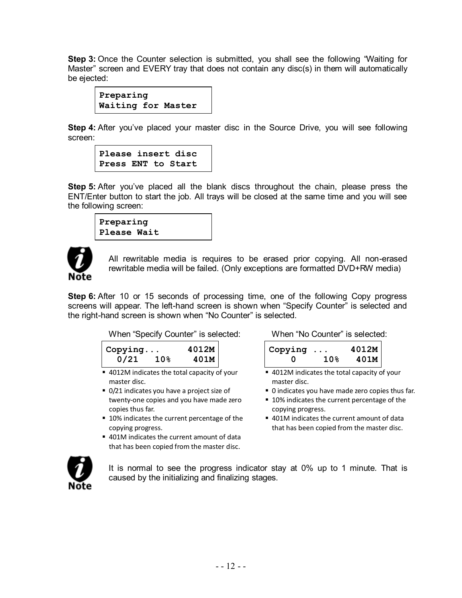**Step 3:** Once the Counter selection is submitted, you shall see the following "Waiting for Master" screen and EVERY tray that does not contain any disc(s) in them will automatically be ejected:

**Preparing Waiting for Master**

**Step 4:** After you've placed your master disc in the Source Drive, you will see following screen:

```
Please insert disc
Press ENT to Start
```
**Step 5:** After you've placed all the blank discs throughout the chain, please press the ENT/Enter button to start the job. All trays will be closed at the same time and you will see the following screen:

**Preparing Please Wait**



All rewritable media is requires to be erased prior copying. All non-erased rewritable media will be failed. (Only exceptions are formatted DVD+RW media)

**Step 6:** After 10 or 15 seconds of processing time, one of the following Copy progress screens will appear. The left-hand screen is shown when "Specify Counter" is selected and the right-hand screen is shown when "No Counter" is selected.

When "Specify Counter" is selected: When "No Counter" is selected:

| Copying |                 | 4012M |
|---------|-----------------|-------|
| 0/21    | 10 <sup>g</sup> | 401M  |

- 4012M indicates the total capacity of your master disc.
- 0/21 indicates you have a project size of twenty-one copies and you have made zero copies thus far.
- 10% indicates the current percentage of the copying progress.
- 401M indicates the current amount of data that has been copied from the master disc.

| $\vert$ Copying $\ldots$ |                 | 4012M |
|--------------------------|-----------------|-------|
|                          | 10 <sub>8</sub> | 401M  |

- 4012M indicates the total capacity of your master disc.
- 0 indicates you have made zero copies thus far.
- 10% indicates the current percentage of the copying progress.
- 401M indicates the current amount of data that has been copied from the master disc.



It is normal to see the progress indicator stay at 0% up to 1 minute. That is caused by the initializing and finalizing stages.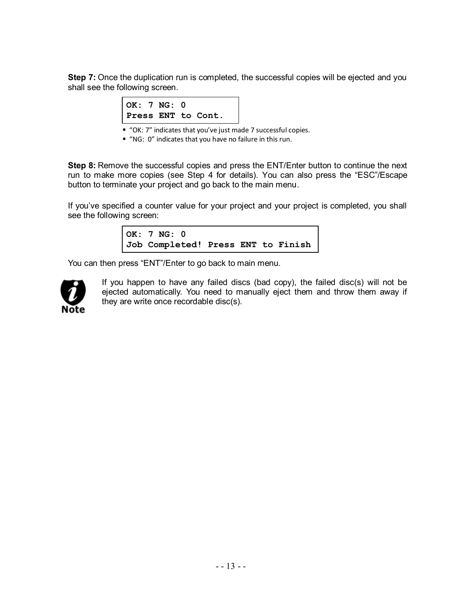**Step 7:** Once the duplication run is completed, the successful copies will be ejected and you shall see the following screen.

| OK: $7 NG: 0$ |  |                    |
|---------------|--|--------------------|
|               |  | Press ENT to Cont. |

■ "OK: 7" indicates that you've just made 7 successful copies.

"NG: 0" indicates that you have no failure in this run.

**Step 8:** Remove the successful copies and press the ENT/Enter button to continue the next run to make more copies (see Step 4 for details). You can also press the "ESC"/Escape button to terminate your project and go back to the main menu.

If you've specified a counter value for your project and your project is completed, you shall see the following screen:

> **OK: 7 NG: 0 Job Completed! Press ENT to Finish**

You can then press "ENT"/Enter to go back to main menu.



If you happen to have any failed discs (bad copy), the failed disc(s) will not be ejected automatically. You need to manually eject them and throw them away if they are write once recordable disc(s).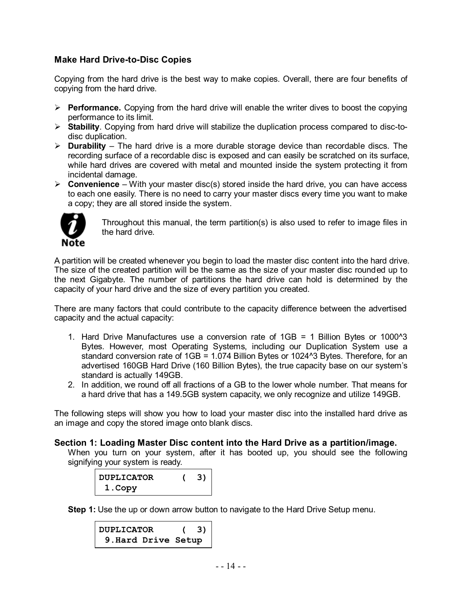#### **Make Hard Drive-to-Disc Copies**

Copying from the hard drive is the best way to make copies. Overall, there are four benefits of copying from the hard drive.

- $\triangleright$  **Performance.** Copying from the hard drive will enable the writer dives to boost the copying performance to its limit.
- **Stability**. Copying from hard drive will stabilize the duplication process compared to disc-todisc duplication.
- **Durability** The hard drive is a more durable storage device than recordable discs. The recording surface of a recordable disc is exposed and can easily be scratched on its surface, while hard drives are covered with metal and mounted inside the system protecting it from incidental damage.
- $\triangleright$  **Convenience** With your master disc(s) stored inside the hard drive, you can have access to each one easily. There is no need to carry your master discs every time you want to make a copy; they are all stored inside the system.



Throughout this manual, the term partition(s) is also used to refer to image files in the hard drive.

A partition will be created whenever you begin to load the master disc content into the hard drive. The size of the created partition will be the same as the size of your master disc rounded up to the next Gigabyte. The number of partitions the hard drive can hold is determined by the capacity of your hard drive and the size of every partition you created.

There are many factors that could contribute to the capacity difference between the advertised capacity and the actual capacity:

- 1. Hard Drive Manufactures use a conversion rate of 1GB = 1 Billion Bytes or 1000^3 Bytes. However, most Operating Systems, including our Duplication System use a standard conversion rate of 1GB = 1.074 Billion Bytes or 1024^3 Bytes. Therefore, for an advertised 160GB Hard Drive (160 Billion Bytes), the true capacity base on our system's standard is actually 149GB.
- 2. In addition, we round off all fractions of a GB to the lower whole number. That means for a hard drive that has a 149.5GB system capacity, we only recognize and utilize 149GB.

The following steps will show you how to load your master disc into the installed hard drive as an image and copy the stored image onto blank discs.

#### **Section 1: Loading Master Disc content into the Hard Drive as a partition/image.**

When you turn on your system, after it has booted up, you should see the following signifying your system is ready.

| <b>DUPLICATOR</b> | 31 |
|-------------------|----|
| 1. Copy           |    |

**Step 1:** Use the up or down arrow button to navigate to the Hard Drive Setup menu.

**DUPLICATOR ( 3) 9.Hard Drive Setup**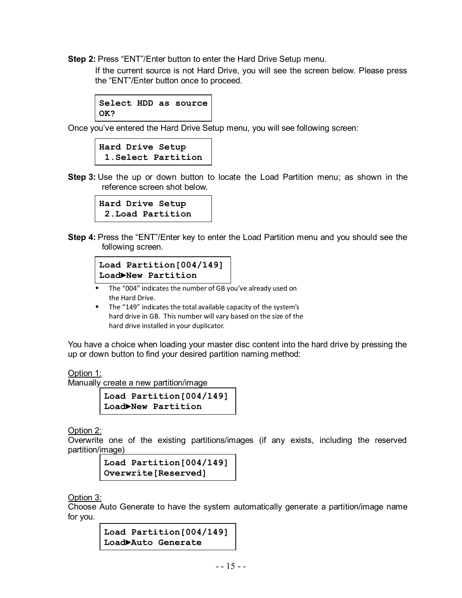**Step 2:** Press "ENT"/Enter button to enter the Hard Drive Setup menu.

If the current source is not Hard Drive, you will see the screen below. Please press the "ENT"/Enter button once to proceed.

```
Select HDD as source
OK?
```
Once you've entered the Hard Drive Setup menu, you will see following screen:

```
Hard Drive Setup
 1.Select Partition
```
**Step 3:** Use the up or down button to locate the Load Partition menu; as shown in the reference screen shot below.

```
Hard Drive Setup
 2.Load Partition
```
**Step 4:** Press the "ENT"/Enter key to enter the Load Partition menu and you should see the following screen.

```
Load Partition[004/149]
Load►New Partition
```
- **F** The "004" indicates the number of GB you've already used on the Hard Drive.
- The "149" indicates the total available capacity of the system's hard drive in GB. This number will vary based on the size of the hard drive installed in your duplicator.

You have a choice when loading your master disc content into the hard drive by pressing the up or down button to find your desired partition naming method:

Option 1:

Manually create a new partition/image

**Load Partition[004/149] Load►New Partition**

Option 2:

Overwrite one of the existing partitions/images (if any exists, including the reserved partition/image)

```
Load Partition[004/149]
Overwrite[Reserved]
```
Option 3:

Choose Auto Generate to have the system automatically generate a partition/image name for you.

> **Load Partition[004/149] Load►Auto Generate**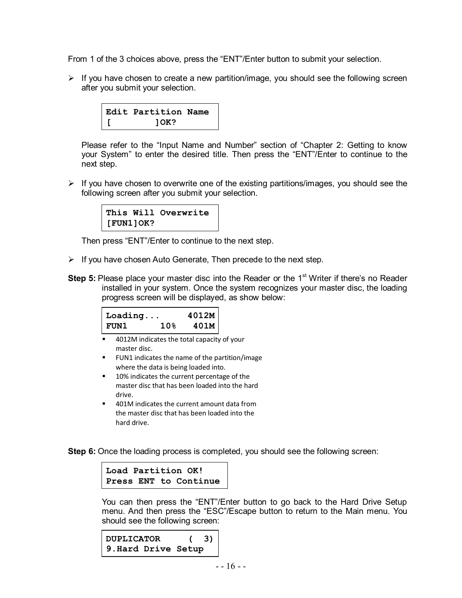From 1 of the 3 choices above, press the "ENT"/Enter button to submit your selection.

 $\triangleright$  If you have chosen to create a new partition/image, you should see the following screen after you submit your selection.



Please refer to the "Input Name and Number" section of "Chapter 2: Getting to know your System" to enter the desired title. Then press the "ENT"/Enter to continue to the next step.

 $\triangleright$  If you have chosen to overwrite one of the existing partitions/images, you should see the following screen after you submit your selection.



Then press "ENT"/Enter to continue to the next step.

- $\triangleright$  If you have chosen Auto Generate, Then precede to the next step.
- **Step 5:** Please place your master disc into the Reader or the 1<sup>st</sup> Writer if there's no Reader installed in your system. Once the system recognizes your master disc, the loading progress screen will be displayed, as show below:

| $ $ Loading |                 | 4012M |
|-------------|-----------------|-------|
| FUN1        | 10 <sub>8</sub> | 401M  |

- 4012M indicates the total capacity of your master disc.
- **FUN1** indicates the name of the partition/image where the data is being loaded into.
- 10% indicates the current percentage of the master disc that has been loaded into the hard drive.
- 401M indicates the current amount data from the master disc that has been loaded into the hard drive.

**Step 6:** Once the loading process is completed, you should see the following screen:



You can then press the "ENT"/Enter button to go back to the Hard Drive Setup menu. And then press the "ESC"/Escape button to return to the Main menu. You should see the following screen:

```
DUPLICATOR ( 3)
9.Hard Drive Setup
```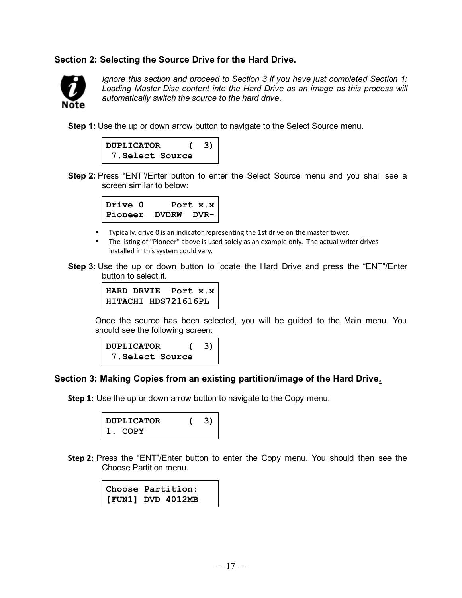#### **Section 2: Selecting the Source Drive for the Hard Drive.**



*Ignore this section and proceed to Section 3 if you have just completed Section 1: Loading Master Disc content into the Hard Drive as an image as this process will automatically switch the source to the hard drive.*

**Step 1:** Use the up or down arrow button to navigate to the Select Source menu.



**Step 2:** Press "ENT"/Enter button to enter the Select Source menu and you shall see a screen similar to below:

| Drive 0                    | Port $x.x$ |
|----------------------------|------------|
| $ $ Pioneer DVDRW DVR- $ $ |            |

- **Typically, drive 0 is an indicator representing the 1st drive on the master tower.**
- The listing of "Pioneer" above is used solely as an example only. The actual writer drives installed in this system could vary.
- **Step 3:** Use the up or down button to locate the Hard Drive and press the "ENT"/Enter button to select it.



Once the source has been selected, you will be guided to the Main menu. You should see the following screen:



#### **Section 3: Making Copies from an existing partition/image of the Hard Drive***.*

**Step 1:** Use the up or down arrow button to navigate to the Copy menu:

| DUPLICATOR | 3) |
|------------|----|
| 1. COPY    |    |

**Step 2:** Press the "ENT"/Enter button to enter the Copy menu. You should then see the Choose Partition menu.

> **Choose Partition: [FUN1] DVD 4012MB**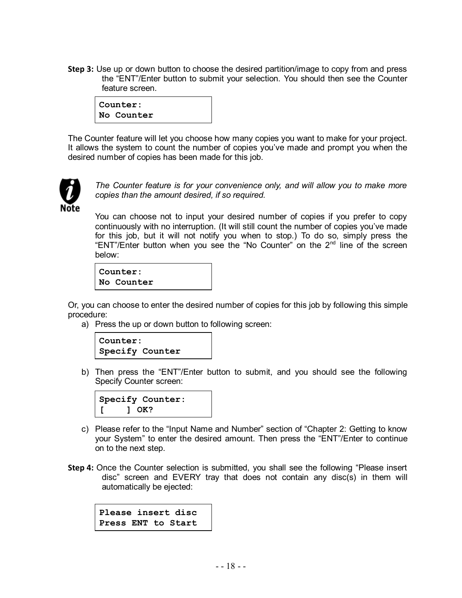**Step 3:** Use up or down button to choose the desired partition/image to copy from and press the "ENT"/Enter button to submit your selection. You should then see the Counter feature screen.



The Counter feature will let you choose how many copies you want to make for your project. It allows the system to count the number of copies you've made and prompt you when the desired number of copies has been made for this job.



*The Counter feature is for your convenience only, and will allow you to make more copies than the amount desired, if so required.*

You can choose not to input your desired number of copies if you prefer to copy continuously with no interruption. (It will still count the number of copies you've made for this job, but it will not notify you when to stop.) To do so, simply press the "ENT"/Enter button when you see the "No Counter" on the  $2<sup>nd</sup>$  line of the screen below:

**Counter: No Counter**

Or, you can choose to enter the desired number of copies for this job by following this simple procedure:

a) Press the up or down button to following screen:



b) Then press the "ENT"/Enter button to submit, and you should see the following Specify Counter screen:



- c) Please refer to the "Input Name and Number" section of "Chapter 2: Getting to know your System" to enter the desired amount. Then press the "ENT"/Enter to continue on to the next step.
- **Step 4:** Once the Counter selection is submitted, you shall see the following "Please insert disc" screen and EVERY tray that does not contain any disc(s) in them will automatically be ejected:

**Please insert disc Press ENT to Start**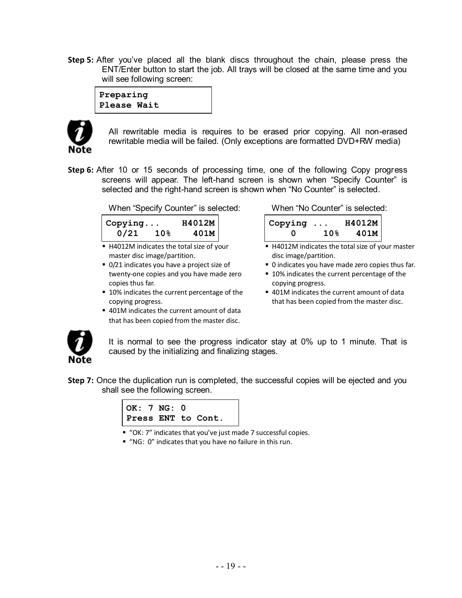**Step 5:** After you've placed all the blank discs throughout the chain, please press the ENT/Enter button to start the job. All trays will be closed at the same time and you will see following screen:

**Preparing Please Wait**



All rewritable media is requires to be erased prior copying. All non-erased rewritable media will be failed. (Only exceptions are formatted DVD+RW media)

**Step 6:** After 10 or 15 seconds of processing time, one of the following Copy progress screens will appear. The left-hand screen is shown when "Specify Counter" is selected and the right-hand screen is shown when "No Counter" is selected.

When "Specify Counter" is selected: When "No Counter" is selected:

| $ $ Copying |                 | H4012M |
|-------------|-----------------|--------|
| 0/21        | 10 <sub>8</sub> | 401M   |

- H4012M indicates the total size of your master disc image/partition.
- 0/21 indicates you have a project size of twenty-one copies and you have made zero copies thus far.
- 10% indicates the current percentage of the copying progress.
- 401M indicates the current amount of data that has been copied from the master disc.

| $\vert$ Copying $\ldots$ |                 | H4012M |
|--------------------------|-----------------|--------|
| O                        | 10 <sub>8</sub> | 401M   |

- H4012M indicates the total size of your master disc image/partition.
- 0 indicates you have made zero copies thus far.
- 10% indicates the current percentage of the copying progress.
- 401M indicates the current amount of data that has been copied from the master disc.



It is normal to see the progress indicator stay at 0% up to 1 minute. That is caused by the initializing and finalizing stages.

**Step 7:** Once the duplication run is completed, the successful copies will be ejected and you shall see the following screen.



- "OK: 7" indicates that you've just made 7 successful copies.
- "NG: 0" indicates that you have no failure in this run.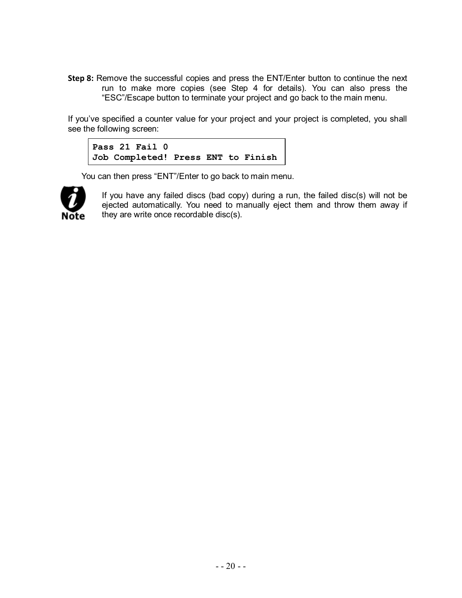**Step 8:** Remove the successful copies and press the ENT/Enter button to continue the next run to make more copies (see Step 4 for details). You can also press the "ESC"/Escape button to terminate your project and go back to the main menu.

If you've specified a counter value for your project and your project is completed, you shall see the following screen:

```
Pass 21 Fail 0
Job Completed! Press ENT to Finish
```
You can then press "ENT"/Enter to go back to main menu.



If you have any failed discs (bad copy) during a run, the failed disc(s) will not be ejected automatically. You need to manually eject them and throw them away if they are write once recordable disc(s).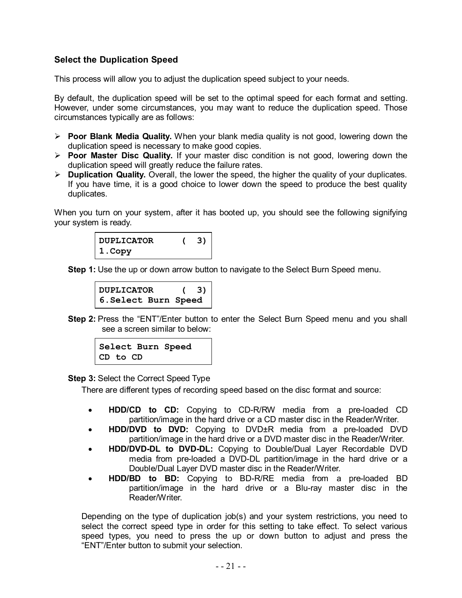### **Select the Duplication Speed**

This process will allow you to adjust the duplication speed subject to your needs.

By default, the duplication speed will be set to the optimal speed for each format and setting. However, under some circumstances, you may want to reduce the duplication speed. Those circumstances typically are as follows:

- **Poor Blank Media Quality.** When your blank media quality is not good, lowering down the duplication speed is necessary to make good copies.
- **Poor Master Disc Quality.** If your master disc condition is not good, lowering down the duplication speed will greatly reduce the failure rates.
- **Duplication Quality.** Overall, the lower the speed, the higher the quality of your duplicates. If you have time, it is a good choice to lower down the speed to produce the best quality duplicates.

When you turn on your system, after it has booted up, you should see the following signifying your system is ready.

| <b>DUPLICATOR</b> | 3) |
|-------------------|----|
| 1.Copy            |    |

**Step 1:** Use the up or down arrow button to navigate to the Select Burn Speed menu.

```
DUPLICATOR ( 3) 
6.Select Burn Speed
```
**Step 2:** Press the "ENT"/Enter button to enter the Select Burn Speed menu and you shall see a screen similar to below:

**Select Burn Speed CD to CD**

**Step 3:** Select the Correct Speed Type

There are different types of recording speed based on the disc format and source:

- **HDD/CD to CD:** Copying to CD-R/RW media from a pre-loaded CD partition/image in the hard drive or a CD master disc in the Reader/Writer.
- **HDD/DVD to DVD:** Copying to DVD±R media from a pre-loaded DVD partition/image in the hard drive or a DVD master disc in the Reader/Writer.
- **HDD/DVD-DL to DVD-DL:** Copying to Double/Dual Layer Recordable DVD media from pre-loaded a DVD-DL partition/image in the hard drive or a Double/Dual Layer DVD master disc in the Reader/Writer.
- **HDD/BD to BD:** Copying to BD-R/RE media from a pre-loaded BD partition/image in the hard drive or a Blu-ray master disc in the Reader/Writer.

Depending on the type of duplication job(s) and your system restrictions, you need to select the correct speed type in order for this setting to take effect. To select various speed types, you need to press the up or down button to adjust and press the "ENT"/Enter button to submit your selection.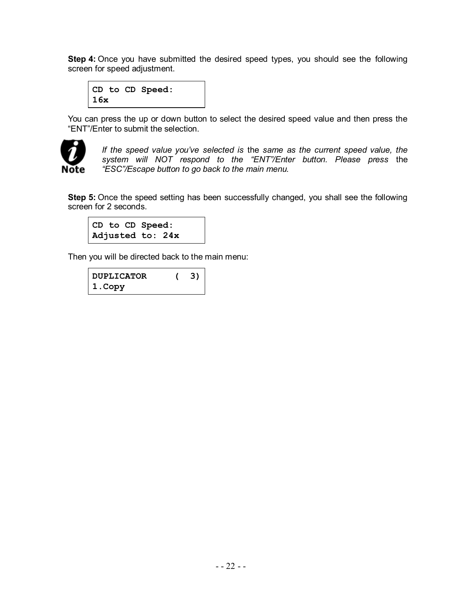**Step 4:** Once you have submitted the desired speed types, you should see the following screen for speed adjustment.

```
CD to CD Speed:
16x
```
You can press the up or down button to select the desired speed value and then press the "ENT"/Enter to submit the selection.



*If the speed value you've selected is* the *same as the current speed value, the system will NOT respond to the "ENT"/Enter button. Please press* the *"ESC"/Escape button to go back to the main menu.*

**Step 5:** Once the speed setting has been successfully changed, you shall see the following screen for 2 seconds.

```
CD to CD Speed:
Adjusted to: 24x
```
Then you will be directed back to the main menu:

| <b>DUPLICATOR</b> | 3) |
|-------------------|----|
| 1. Copy           |    |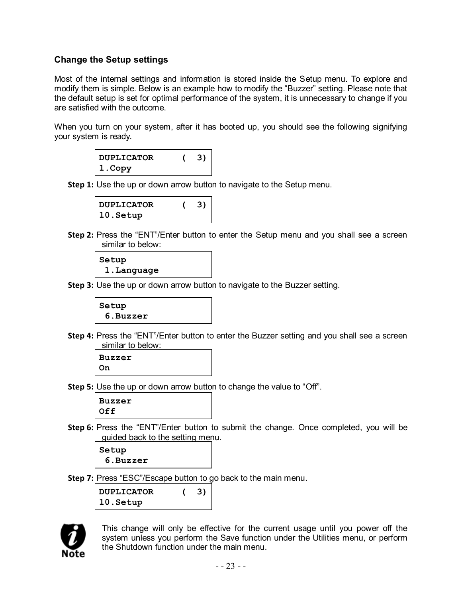### **Change the Setup settings**

Most of the internal settings and information is stored inside the Setup menu. To explore and modify them is simple. Below is an example how to modify the "Buzzer" setting. Please note that the default setup is set for optimal performance of the system, it is unnecessary to change if you are satisfied with the outcome.

When you turn on your system, after it has booted up, you should see the following signifying your system is ready.

| <b>DUPLICATOR</b> | 3) |
|-------------------|----|
| 1.Copy            |    |

**Step 1:** Use the up or down arrow button to navigate to the Setup menu.



**Step 2:** Press the "ENT"/Enter button to enter the Setup menu and you shall see a screen similar to below:

```
Setup
 1.Language
```
**Step 3:** Use the up or down arrow button to navigate to the Buzzer setting.



**Step 4:** Press the "ENT"/Enter button to enter the Buzzer setting and you shall see a screen similar to below:

**Buzzer On**

**Step 5:** Use the up or down arrow button to change the value to "Off".

**Buzzer Off**

**Step 6:** Press the "ENT"/Enter button to submit the change. Once completed, you will be guided back to the setting menu.

**Setup 6.Buzzer**

**Step 7:** Press "ESC"/Escape button to go back to the main menu.

**DUPLICATOR ( 3) 10.Setup**



This change will only be effective for the current usage until you power off the system unless you perform the Save function under the Utilities menu, or perform the Shutdown function under the main menu.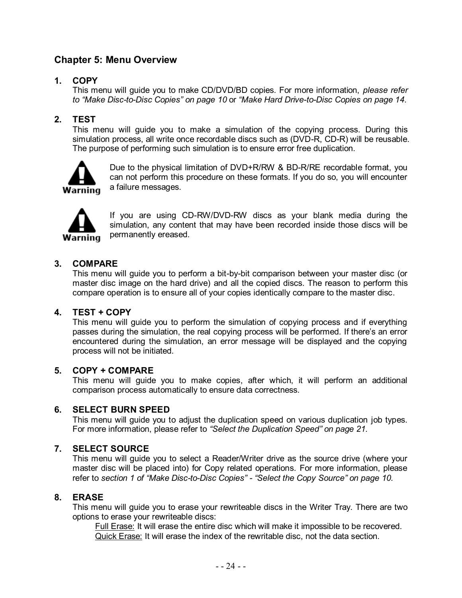### **Chapter 5: Menu Overview**

### **1. COPY**

This menu will guide you to make CD/DVD/BD copies. For more information, *please refer to "Make Disc-to-Disc Copies" on page 10* or *"Make Hard Drive-to-Disc Copies on page 14*.

### **2. TEST**

This menu will guide you to make a simulation of the copying process. During this simulation process, all write once recordable discs such as (DVD-R, CD-R) will be reusable. The purpose of performing such simulation is to ensure error free duplication.



Due to the physical limitation of DVD+R/RW & BD-R/RE recordable format, you can not perform this procedure on these formats. If you do so, you will encounter a failure messages.



If you are using CD-RW/DVD-RW discs as your blank media during the simulation, any content that may have been recorded inside those discs will be permanently ereased.

#### **3. COMPARE**

This menu will guide you to perform a bit-by-bit comparison between your master disc (or master disc image on the hard drive) and all the copied discs. The reason to perform this compare operation is to ensure all of your copies identically compare to the master disc.

#### **4. TEST + COPY**

This menu will guide you to perform the simulation of copying process and if everything passes during the simulation, the real copying process will be performed. If there's an error encountered during the simulation, an error message will be displayed and the copying process will not be initiated.

#### **5. COPY + COMPARE**

This menu will guide you to make copies, after which, it will perform an additional comparison process automatically to ensure data correctness.

#### **6. SELECT BURN SPEED**

This menu will guide you to adjust the duplication speed on various duplication job types. For more information, please refer to *"Select the Duplication Speed" on page 21.*

#### **7. SELECT SOURCE**

This menu will guide you to select a Reader/Writer drive as the source drive (where your master disc will be placed into) for Copy related operations. For more information, please refer to *section 1 of "Make Disc-to-Disc Copies" - "Select the Copy Source" on page 10.*

#### **8. ERASE**

This menu will guide you to erase your rewriteable discs in the Writer Tray. There are two options to erase your rewriteable discs:

Full Erase: It will erase the entire disc which will make it impossible to be recovered. Quick Erase: It will erase the index of the rewritable disc, not the data section.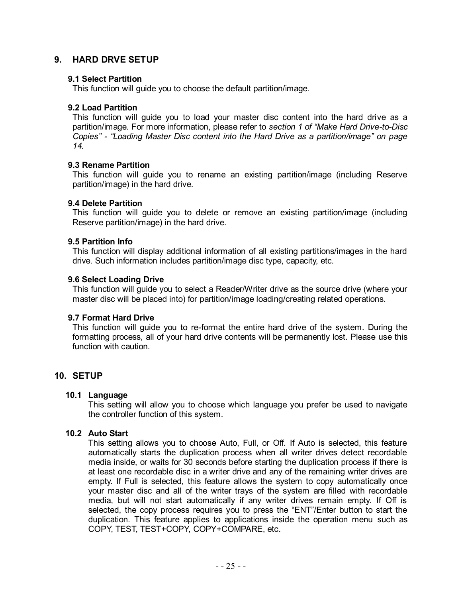#### **9. HARD DRVE SETUP**

#### **9.1 Select Partition**

This function will guide you to choose the default partition/image.

#### **9.2 Load Partition**

This function will guide you to load your master disc content into the hard drive as a partition/image. For more information, please refer to *section 1 of "Make Hard Drive-to-Disc Copies" - "Loading Master Disc content into the Hard Drive as a partition/image" on page 14.*

#### **9.3 Rename Partition**

This function will guide you to rename an existing partition/image (including Reserve partition/image) in the hard drive.

#### **9.4 Delete Partition**

This function will guide you to delete or remove an existing partition/image (including Reserve partition/image) in the hard drive.

#### **9.5 Partition Info**

This function will display additional information of all existing partitions/images in the hard drive. Such information includes partition/image disc type, capacity, etc.

#### **9.6 Select Loading Drive**

This function will guide you to select a Reader/Writer drive as the source drive (where your master disc will be placed into) for partition/image loading/creating related operations.

#### **9.7 Format Hard Drive**

This function will guide you to re-format the entire hard drive of the system. During the formatting process, all of your hard drive contents will be permanently lost. Please use this function with caution.

#### **10. SETUP**

#### **10.1 Language**

This setting will allow you to choose which language you prefer be used to navigate the controller function of this system.

#### **10.2 Auto Start**

This setting allows you to choose Auto, Full, or Off. If Auto is selected, this feature automatically starts the duplication process when all writer drives detect recordable media inside, or waits for 30 seconds before starting the duplication process if there is at least one recordable disc in a writer drive and any of the remaining writer drives are empty. If Full is selected, this feature allows the system to copy automatically once your master disc and all of the writer trays of the system are filled with recordable media, but will not start automatically if any writer drives remain empty. If Off is selected, the copy process requires you to press the "ENT"/Enter button to start the duplication. This feature applies to applications inside the operation menu such as COPY, TEST, TEST+COPY, COPY+COMPARE, etc.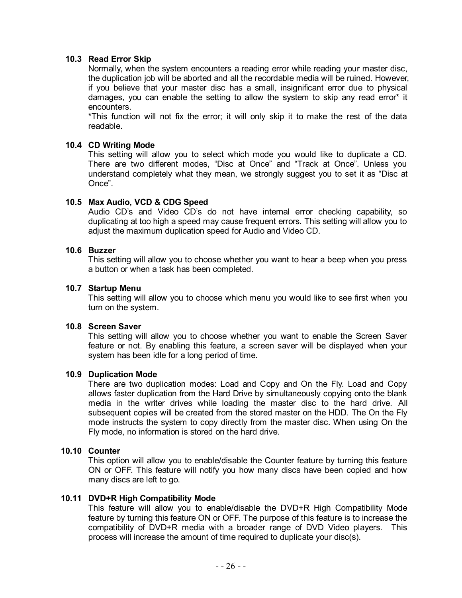#### **10.3 Read Error Skip**

Normally, when the system encounters a reading error while reading your master disc, the duplication job will be aborted and all the recordable media will be ruined. However, if you believe that your master disc has a small, insignificant error due to physical damages, you can enable the setting to allow the system to skip any read error\* it encounters.

\*This function will not fix the error; it will only skip it to make the rest of the data readable.

#### **10.4 CD Writing Mode**

This setting will allow you to select which mode you would like to duplicate a CD. There are two different modes, "Disc at Once" and "Track at Once". Unless you understand completely what they mean, we strongly suggest you to set it as "Disc at Once".

#### **10.5 Max Audio, VCD & CDG Speed**

Audio CD's and Video CD's do not have internal error checking capability, so duplicating at too high a speed may cause frequent errors. This setting will allow you to adjust the maximum duplication speed for Audio and Video CD.

#### **10.6 Buzzer**

This setting will allow you to choose whether you want to hear a beep when you press a button or when a task has been completed.

#### **10.7 Startup Menu**

This setting will allow you to choose which menu you would like to see first when you turn on the system.

#### **10.8 Screen Saver**

This setting will allow you to choose whether you want to enable the Screen Saver feature or not. By enabling this feature, a screen saver will be displayed when your system has been idle for a long period of time.

#### **10.9 Duplication Mode**

There are two duplication modes: Load and Copy and On the Fly. Load and Copy allows faster duplication from the Hard Drive by simultaneously copying onto the blank media in the writer drives while loading the master disc to the hard drive. All subsequent copies will be created from the stored master on the HDD. The On the Fly mode instructs the system to copy directly from the master disc. When using On the Fly mode, no information is stored on the hard drive.

#### **10.10 Counter**

This option will allow you to enable/disable the Counter feature by turning this feature ON or OFF. This feature will notify you how many discs have been copied and how many discs are left to go.

#### **10.11 DVD+R High Compatibility Mode**

This feature will allow you to enable/disable the DVD+R High Compatibility Mode feature by turning this feature ON or OFF. The purpose of this feature is to increase the compatibility of DVD+R media with a broader range of DVD Video players. This process will increase the amount of time required to duplicate your disc(s).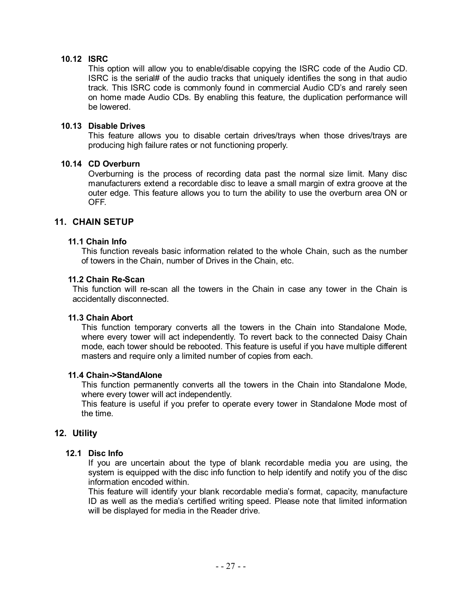#### **10.12 ISRC**

This option will allow you to enable/disable copying the ISRC code of the Audio CD. ISRC is the serial# of the audio tracks that uniquely identifies the song in that audio track. This ISRC code is commonly found in commercial Audio CD's and rarely seen on home made Audio CDs. By enabling this feature, the duplication performance will be lowered.

#### **10.13 Disable Drives**

This feature allows you to disable certain drives/trays when those drives/trays are producing high failure rates or not functioning properly.

#### **10.14 CD Overburn**

Overburning is the process of recording data past the normal size limit. Many disc manufacturers extend a recordable disc to leave a small margin of extra groove at the outer edge. This feature allows you to turn the ability to use the overburn area ON or OFF.

#### **11. CHAIN SETUP**

#### **11.1 Chain Info**

This function reveals basic information related to the whole Chain, such as the number of towers in the Chain, number of Drives in the Chain, etc.

#### **11.2 Chain Re-Scan**

This function will re-scan all the towers in the Chain in case any tower in the Chain is accidentally disconnected.

#### **11.3 Chain Abort**

This function temporary converts all the towers in the Chain into Standalone Mode, where every tower will act independently. To revert back to the connected Daisy Chain mode, each tower should be rebooted. This feature is useful if you have multiple different masters and require only a limited number of copies from each.

#### **11.4 Chain->StandAlone**

This function permanently converts all the towers in the Chain into Standalone Mode, where every tower will act independently.

This feature is useful if you prefer to operate every tower in Standalone Mode most of the time.

#### **12. Utility**

#### **12.1 Disc Info**

If you are uncertain about the type of blank recordable media you are using, the system is equipped with the disc info function to help identify and notify you of the disc information encoded within.

This feature will identify your blank recordable media's format, capacity, manufacture ID as well as the media's certified writing speed. Please note that limited information will be displayed for media in the Reader drive.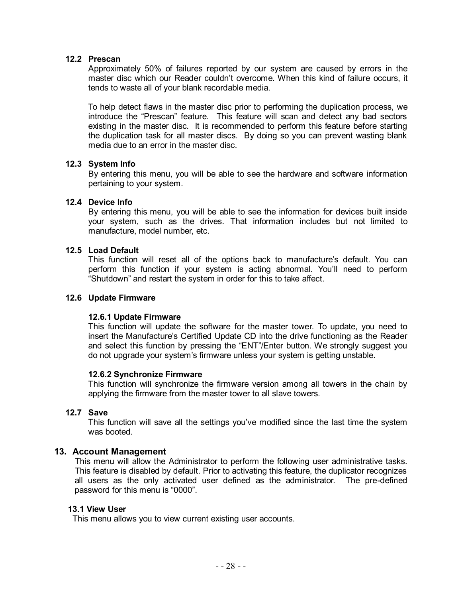#### **12.2 Prescan**

Approximately 50% of failures reported by our system are caused by errors in the master disc which our Reader couldn't overcome. When this kind of failure occurs, it tends to waste all of your blank recordable media.

To help detect flaws in the master disc prior to performing the duplication process, we introduce the "Prescan" feature. This feature will scan and detect any bad sectors existing in the master disc. It is recommended to perform this feature before starting the duplication task for all master discs. By doing so you can prevent wasting blank media due to an error in the master disc.

#### **12.3 System Info**

By entering this menu, you will be able to see the hardware and software information pertaining to your system.

#### **12.4 Device Info**

By entering this menu, you will be able to see the information for devices built inside your system, such as the drives. That information includes but not limited to manufacture, model number, etc.

#### **12.5 Load Default**

This function will reset all of the options back to manufacture's default. You can perform this function if your system is acting abnormal. You'll need to perform "Shutdown" and restart the system in order for this to take affect.

#### **12.6 Update Firmware**

#### **12.6.1 Update Firmware**

This function will update the software for the master tower. To update, you need to insert the Manufacture's Certified Update CD into the drive functioning as the Reader and select this function by pressing the "ENT"/Enter button. We strongly suggest you do not upgrade your system's firmware unless your system is getting unstable.

#### **12.6.2 Synchronize Firmware**

This function will synchronize the firmware version among all towers in the chain by applying the firmware from the master tower to all slave towers.

#### **12.7 Save**

This function will save all the settings you've modified since the last time the system was booted.

#### **13. Account Management**

This menu will allow the Administrator to perform the following user administrative tasks. This feature is disabled by default. Prior to activating this feature, the duplicator recognizes all users as the only activated user defined as the administrator. The pre-defined password for this menu is "0000".

#### **13.1 View User**

This menu allows you to view current existing user accounts.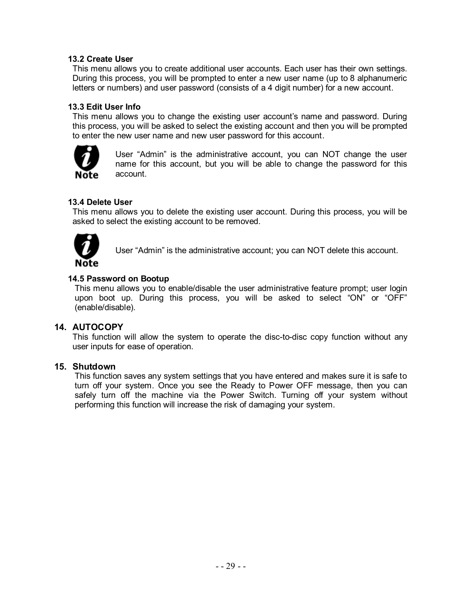#### **13.2 Create User**

This menu allows you to create additional user accounts. Each user has their own settings. During this process, you will be prompted to enter a new user name (up to 8 alphanumeric letters or numbers) and user password (consists of a 4 digit number) for a new account.

#### **13.3 Edit User Info**

This menu allows you to change the existing user account's name and password. During this process, you will be asked to select the existing account and then you will be prompted to enter the new user name and new user password for this account.



User "Admin" is the administrative account, you can NOT change the user name for this account, but you will be able to change the password for this account.

#### **13.4 Delete User**

This menu allows you to delete the existing user account. During this process, you will be asked to select the existing account to be removed.



User "Admin" is the administrative account; you can NOT delete this account.

#### **14.5 Password on Bootup**

This menu allows you to enable/disable the user administrative feature prompt; user login upon boot up. During this process, you will be asked to select "ON" or "OFF" (enable/disable).

#### **14. AUTOCOPY**

This function will allow the system to operate the disc-to-disc copy function without any user inputs for ease of operation.

#### **15. Shutdown**

This function saves any system settings that you have entered and makes sure it is safe to turn off your system. Once you see the Ready to Power OFF message, then you can safely turn off the machine via the Power Switch. Turning off your system without performing this function will increase the risk of damaging your system.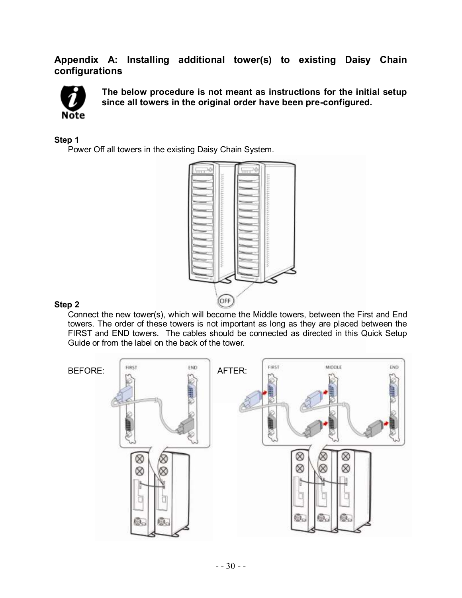### **Appendix A: Installing additional tower(s) to existing Daisy Chain configurations**



**The below procedure is not meant as instructions for the initial setup since all towers in the original order have been pre-configured.**

#### **Step 1**

Power Off all towers in the existing Daisy Chain System.



#### **Step 2**

Connect the new tower(s), which will become the Middle towers, between the First and End towers. The order of these towers is not important as long as they are placed between the FIRST and END towers. The cables should be connected as directed in this Quick Setup Guide or from the label on the back of the tower.

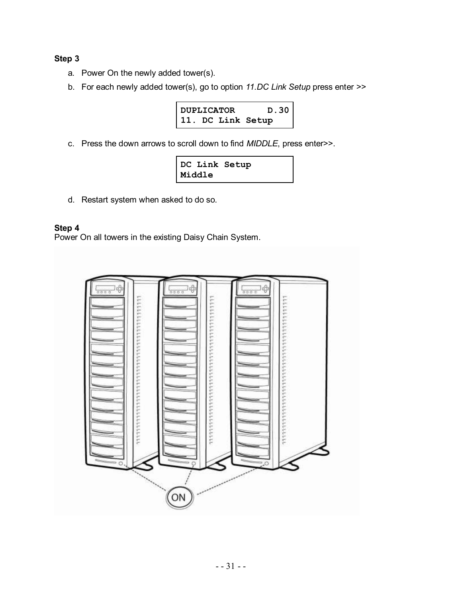#### **Step 3**

- a. Power On the newly added tower(s).
- b. For each newly added tower(s), go to option *11.DC Link Setup* press enter >>



c. Press the down arrows to scroll down to find *MIDDLE*, press enter>>.

|        | DC Link Setup |  |
|--------|---------------|--|
| Middle |               |  |

d. Restart system when asked to do so.

#### **Step 4**

Power On all towers in the existing Daisy Chain System.

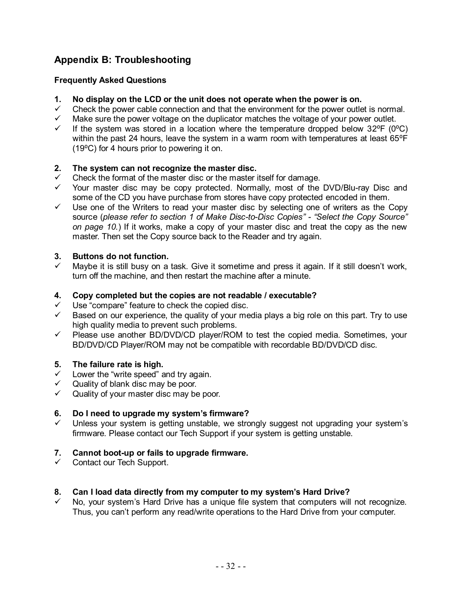### **Appendix B: Troubleshooting**

#### **Frequently Asked Questions**

- **1. No display on the LCD or the unit does not operate when the power is on.**
- $\checkmark$  Check the power cable connection and that the environment for the power outlet is normal.
- $\checkmark$  Make sure the power voltage on the duplicator matches the voltage of your power outlet.<br> $\checkmark$  If the system was stored in a location where the temperature dropped below 32°F (0°
- If the system was stored in a location where the temperature dropped below  $32^{\circ}F$  (0 $^{\circ}C$ ) within the past 24 hours, leave the system in a warm room with temperatures at least 65°F  $(19^{\circ}C)$  for 4 hours prior to powering it on.

#### **2. The system can not recognize the master disc.**

- Check the format of the master disc or the master itself for damage.<br>
Y Your master disc may be copy protected Normally most of the
- Your master disc may be copy protected. Normally, most of the DVD/Blu-ray Disc and some of the CD you have purchase from stores have copy protected encoded in them.
- $\checkmark$  Use one of the Writers to read your master disc by selecting one of writers as the Copy source (*please refer to section 1 of Make Disc-to-Disc Copies" - "Select the Copy Source" on page 10.*) If it works, make a copy of your master disc and treat the copy as the new master. Then set the Copy source back to the Reader and try again.

#### **3. Buttons do not function.**

 Maybe it is still busy on a task. Give it sometime and press it again. If it still doesn't work, turn off the machine, and then restart the machine after a minute.

#### **4. Copy completed but the copies are not readable / executable?**

- Use "compare" feature to check the copied disc.
- $\checkmark$  Based on our experience, the quality of your media plays a big role on this part. Try to use high quality media to prevent such problems.
- $\checkmark$  Please use another BD/DVD/CD player/ROM to test the copied media. Sometimes, your BD/DVD/CD Player/ROM may not be compatible with recordable BD/DVD/CD disc.

#### **5. The failure rate is high.**

- $\checkmark$  Lower the "write speed" and try again.
- $\checkmark$  Quality of blank disc may be poor.
- $\checkmark$  Quality of your master disc may be poor.

#### **6. Do I need to upgrade my system's firmware?**

 Unless your system is getting unstable, we strongly suggest not upgrading your system's firmware. Please contact our Tech Support if your system is getting unstable.

#### **7. Cannot boot-up or fails to upgrade firmware.**

 $\checkmark$  Contact our Tech Support.

#### **8. Can I load data directly from my computer to my system's Hard Drive?**

 No, your system's Hard Drive has a unique file system that computers will not recognize. Thus, you can't perform any read/write operations to the Hard Drive from your computer.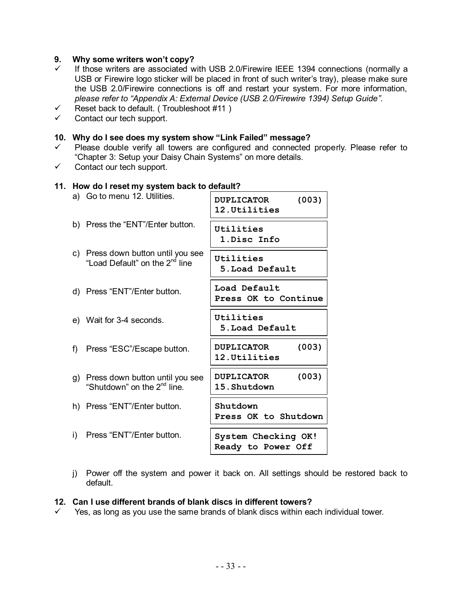#### **9. Why some writers won't copy?**

- $\checkmark$  If those writers are associated with USB 2.0/Firewire IEEE 1394 connections (normally a USB or Firewire logo sticker will be placed in front of such writer's tray), please make sure the USB 2.0/Firewire connections is off and restart your system. For more information, *please refer to "Appendix A: External Device (USB 2.0/Firewire 1394) Setup Guide".*
- $\checkmark$  Reset back to default. (Troubleshoot #11)
- $\checkmark$  Contact our tech support.

#### **10. Why do I see does my system show "Link Failed" message?**

- $\checkmark$  Please double verify all towers are configured and connected properly. Please refer to "Chapter 3: Setup your Daisy Chain Systems" on more details.
- $\checkmark$  Contact our tech support.

#### **11. How do I reset my system back to default?**

| a) Go to menu 12. Utilities.                                                     | (003)<br><b>DUPLICATOR</b><br>12. Utilities |
|----------------------------------------------------------------------------------|---------------------------------------------|
| b) Press the "ENT"/Enter button.                                                 | Utilities<br>1.Disc Info                    |
| c) Press down button until you see<br>"Load Default" on the 2 <sup>nd</sup> line | Utilities<br>5. Load Default                |
| d) Press "ENT"/Enter button.                                                     | Load Default<br>Press OK to Continue        |
| e) Wait for 3-4 seconds.                                                         | Utilities<br>5. Load Default                |
| f) Press "ESC"/Escape button.                                                    | (003)<br><b>DUPLICATOR</b><br>12. Utilities |
| g) Press down button until you see<br>"Shutdown" on the 2 <sup>nd</sup> line.    | (003)<br><b>DUPLICATOR</b><br>15.Shutdown   |
| h) Press "ENT"/Enter button.                                                     | Shutdown<br>Press OK to Shutdown            |
| i) Press "ENT"/Enter button.                                                     | System Checking OK!<br>Ready to Power Off   |

j) Power off the system and power it back on. All settings should be restored back to default.

#### **12. Can I use different brands of blank discs in different towers?**

 $\checkmark$  Yes, as long as you use the same brands of blank discs within each individual tower.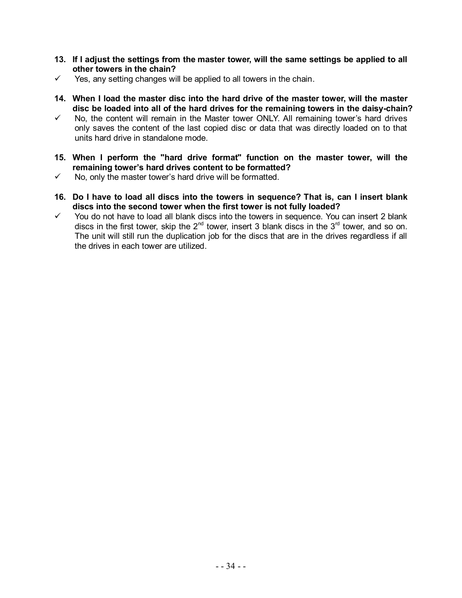- **13. If I adjust the settings from the master tower, will the same settings be applied to all other towers in the chain?**
- $\checkmark$  Yes, any setting changes will be applied to all towers in the chain.
- **14. When I load the master disc into the hard drive of the master tower, will the master disc be loaded into all of the hard drives for the remaining towers in the daisy-chain?**
- No, the content will remain in the Master tower ONLY. All remaining tower's hard drives only saves the content of the last copied disc or data that was directly loaded on to that units hard drive in standalone mode.
- **15. When I perform the "hard drive format" function on the master tower, will the remaining tower's hard drives content to be formatted?**
- $\checkmark$  No, only the master tower's hard drive will be formatted.
- **16. Do I have to load all discs into the towers in sequence? That is, can I insert blank discs into the second tower when the first tower is not fully loaded?**
- $\checkmark$  You do not have to load all blank discs into the towers in sequence. You can insert 2 blank discs in the first tower, skip the  $2^{nd}$  tower, insert 3 blank discs in the  $3^{rd}$  tower, and so on. The unit will still run the duplication job for the discs that are in the drives regardless if all the drives in each tower are utilized.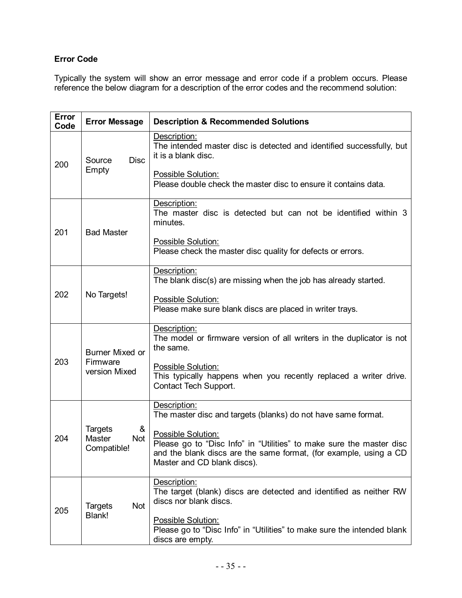### **Error Code**

Typically the system will show an error message and error code if a problem occurs. Please reference the below diagram for a description of the error codes and the recommend solution:

| <b>Error</b><br>Code | <b>Error Message</b>                                | <b>Description &amp; Recommended Solutions</b>                                                                                                                                                 |
|----------------------|-----------------------------------------------------|------------------------------------------------------------------------------------------------------------------------------------------------------------------------------------------------|
| 200                  | <b>Disc</b><br>Source<br>Empty                      | Description:<br>The intended master disc is detected and identified successfully, but<br>it is a blank disc.                                                                                   |
|                      |                                                     | Possible Solution:<br>Please double check the master disc to ensure it contains data.                                                                                                          |
| 201                  | <b>Bad Master</b>                                   | Description:<br>The master disc is detected but can not be identified within 3<br>minutes.                                                                                                     |
|                      |                                                     | Possible Solution:<br>Please check the master disc quality for defects or errors.                                                                                                              |
|                      |                                                     | Description:<br>The blank disc(s) are missing when the job has already started.                                                                                                                |
| 202                  | No Targets!                                         | Possible Solution:<br>Please make sure blank discs are placed in writer trays.                                                                                                                 |
|                      | <b>Burner Mixed or</b>                              | Description:<br>The model or firmware version of all writers in the duplicator is not<br>the same.                                                                                             |
| 203                  | Firmware<br>version Mixed                           | Possible Solution:<br>This typically happens when you recently replaced a writer drive.<br>Contact Tech Support.                                                                               |
|                      |                                                     | Description:<br>The master disc and targets (blanks) do not have same format.                                                                                                                  |
| 204                  | <b>Targets</b><br>&<br>Master<br>Not<br>Compatible! | Possible Solution:<br>Please go to "Disc Info" in "Utilities" to make sure the master disc<br>and the blank discs are the same format, (for example, using a CD<br>Master and CD blank discs). |
| 205                  | Not<br><b>Targets</b>                               | Description:<br>The target (blank) discs are detected and identified as neither RW<br>discs nor blank discs.                                                                                   |
|                      | Blank!                                              | Possible Solution:<br>Please go to "Disc Info" in "Utilities" to make sure the intended blank<br>discs are empty.                                                                              |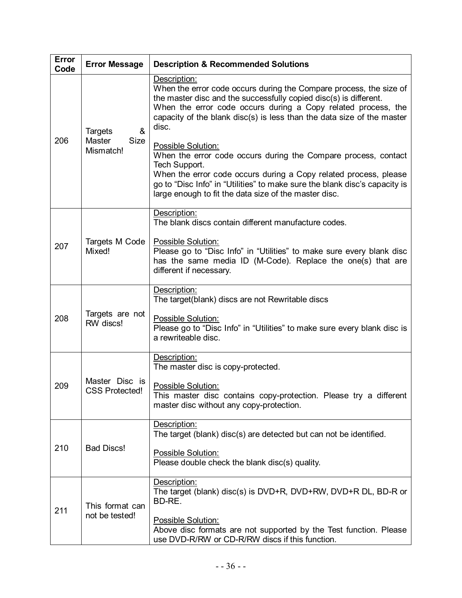| <b>Error</b><br>Code | <b>Error Message</b>                                                                                                                                                                                                                 | <b>Description &amp; Recommended Solutions</b>                                                                                                                                                                                                                                                                                                                                                                                                                                                                                                                                                                                  |
|----------------------|--------------------------------------------------------------------------------------------------------------------------------------------------------------------------------------------------------------------------------------|---------------------------------------------------------------------------------------------------------------------------------------------------------------------------------------------------------------------------------------------------------------------------------------------------------------------------------------------------------------------------------------------------------------------------------------------------------------------------------------------------------------------------------------------------------------------------------------------------------------------------------|
| 206                  | &<br><b>Targets</b><br>Master<br>Size<br>Mismatch!                                                                                                                                                                                   | Description:<br>When the error code occurs during the Compare process, the size of<br>the master disc and the successfully copied disc(s) is different.<br>When the error code occurs during a Copy related process, the<br>capacity of the blank disc(s) is less than the data size of the master<br>disc.<br>Possible Solution:<br>When the error code occurs during the Compare process, contact<br>Tech Support.<br>When the error code occurs during a Copy related process, please<br>go to "Disc Info" in "Utilities" to make sure the blank disc's capacity is<br>large enough to fit the data size of the master disc. |
| 207                  | Targets M Code<br>Mixed!                                                                                                                                                                                                             | Description:<br>The blank discs contain different manufacture codes.<br>Possible Solution:<br>Please go to "Disc Info" in "Utilities" to make sure every blank disc<br>has the same media ID (M-Code). Replace the one(s) that are<br>different if necessary.                                                                                                                                                                                                                                                                                                                                                                   |
| 208                  | Targets are not<br>RW discs!                                                                                                                                                                                                         | Description:<br>The target(blank) discs are not Rewritable discs<br>Possible Solution:<br>Please go to "Disc Info" in "Utilities" to make sure every blank disc is<br>a rewriteable disc.                                                                                                                                                                                                                                                                                                                                                                                                                                       |
| 209                  | Description:<br>The master disc is copy-protected.<br>Master Disc is<br>Possible Solution:<br><b>CSS Protected!</b><br>This master disc contains copy-protection. Please try a different<br>master disc without any copy-protection. |                                                                                                                                                                                                                                                                                                                                                                                                                                                                                                                                                                                                                                 |
| 210                  | Description:<br>The target (blank) disc(s) are detected but can not be identified.<br><b>Bad Discs!</b><br>Possible Solution:<br>Please double check the blank disc(s) quality.                                                      |                                                                                                                                                                                                                                                                                                                                                                                                                                                                                                                                                                                                                                 |
| 211                  | This format can<br>not be tested!                                                                                                                                                                                                    | Description:<br>The target (blank) disc(s) is DVD+R, DVD+RW, DVD+R DL, BD-R or<br>BD-RE.<br>Possible Solution:<br>Above disc formats are not supported by the Test function. Please<br>use DVD-R/RW or CD-R/RW discs if this function.                                                                                                                                                                                                                                                                                                                                                                                          |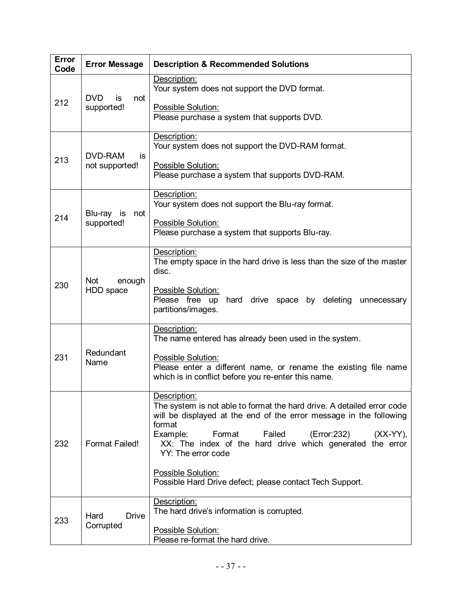| Error<br>Code | <b>Error Message</b>                   | <b>Description &amp; Recommended Solutions</b>                                                                                                                         |
|---------------|----------------------------------------|------------------------------------------------------------------------------------------------------------------------------------------------------------------------|
| 212           | <b>DVD</b><br>is<br>not<br>supported!  | Description:<br>Your system does not support the DVD format.                                                                                                           |
|               |                                        | Possible Solution:<br>Please purchase a system that supports DVD.                                                                                                      |
| 213           | <b>DVD-RAM</b><br>is<br>not supported! | Description:<br>Your system does not support the DVD-RAM format.                                                                                                       |
|               |                                        | <b>Possible Solution:</b><br>Please purchase a system that supports DVD-RAM.                                                                                           |
| 214           | Blu-ray is<br>not<br>supported!        | Description:<br>Your system does not support the Blu-ray format.                                                                                                       |
|               |                                        | Possible Solution:<br>Please purchase a system that supports Blu-ray.                                                                                                  |
| 230           | <b>Not</b><br>enough<br>HDD space      | Description:<br>The empty space in the hard drive is less than the size of the master<br>disc.                                                                         |
|               |                                        | Possible Solution:<br>Please free up hard drive space by deleting<br>unnecessary<br>partitions/images.                                                                 |
| 231           | Redundant<br>Name                      | Description:<br>The name entered has already been used in the system.                                                                                                  |
|               |                                        | <b>Possible Solution:</b><br>Please enter a different name, or rename the existing file name<br>which is in conflict before you re-enter this name.                    |
| 232           | <b>Format Failed!</b>                  | Description:<br>The system is not able to format the hard drive. A detailed error code<br>will be displayed at the end of the error message in the following<br>format |
|               |                                        | Example:<br>Format<br>Failed<br>(Error:232)<br>$(XX-YY)$ ,<br>XX: The index of the hard drive which generated the error<br>YY: The error code                          |
|               |                                        | Possible Solution:<br>Possible Hard Drive defect; please contact Tech Support.                                                                                         |
| 233           | Hard<br><b>Drive</b><br>Corrupted      | Description:<br>The hard drive's information is corrupted.                                                                                                             |
|               |                                        | Possible Solution:<br>Please re-format the hard drive.                                                                                                                 |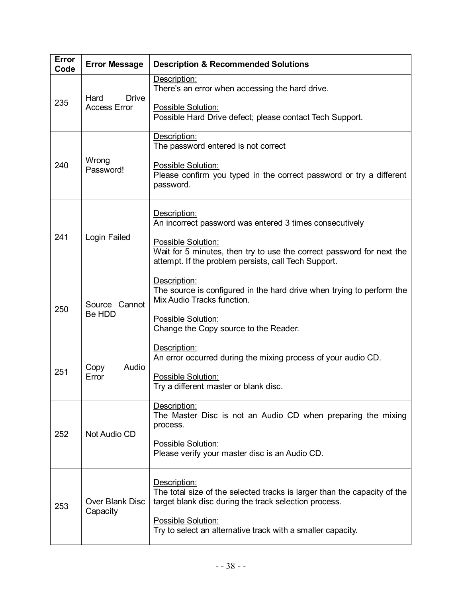| Error<br>Code | <b>Error Message</b>                        | <b>Description &amp; Recommended Solutions</b>                                                                                                      |
|---------------|---------------------------------------------|-----------------------------------------------------------------------------------------------------------------------------------------------------|
| 235           | <b>Drive</b><br>Hard<br><b>Access Error</b> | Description:<br>There's an error when accessing the hard drive.                                                                                     |
|               |                                             | Possible Solution:<br>Possible Hard Drive defect; please contact Tech Support.                                                                      |
| 240           | Wrong<br>Password!                          | Description:<br>The password entered is not correct                                                                                                 |
|               |                                             | Possible Solution:<br>Please confirm you typed in the correct password or try a different<br>password.                                              |
| 241           | Login Failed                                | Description:<br>An incorrect password was entered 3 times consecutively                                                                             |
|               |                                             | Possible Solution:<br>Wait for 5 minutes, then try to use the correct password for next the<br>attempt. If the problem persists, call Tech Support. |
| 250           | Source Cannot<br>Be HDD                     | Description:<br>The source is configured in the hard drive when trying to perform the<br>Mix Audio Tracks function.                                 |
|               |                                             | Possible Solution:<br>Change the Copy source to the Reader.                                                                                         |
| 251           | Audio<br>Copy<br>Error                      | Description:<br>An error occurred during the mixing process of your audio CD.                                                                       |
|               |                                             | <b>Possible Solution:</b><br>Try a different master or blank disc.                                                                                  |
| 252           | Not Audio CD                                | Description:<br>The Master Disc is not an Audio CD when preparing the mixing<br>process.                                                            |
|               |                                             | Possible Solution:<br>Please verify your master disc is an Audio CD.                                                                                |
| 253           | <b>Over Blank Disc</b><br>Capacity          | Description:<br>The total size of the selected tracks is larger than the capacity of the<br>target blank disc during the track selection process.   |
|               |                                             | Possible Solution:<br>Try to select an alternative track with a smaller capacity.                                                                   |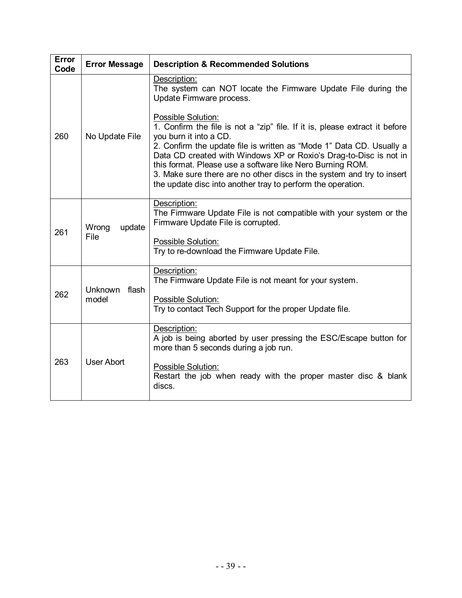| <b>Error</b><br>Code | <b>Error Message</b>    | <b>Description &amp; Recommended Solutions</b>                                                                                                                                                                                                                                                                                                                                                                                                                                                                                                                                                    |
|----------------------|-------------------------|---------------------------------------------------------------------------------------------------------------------------------------------------------------------------------------------------------------------------------------------------------------------------------------------------------------------------------------------------------------------------------------------------------------------------------------------------------------------------------------------------------------------------------------------------------------------------------------------------|
| 260                  | No Update File          | Description:<br>The system can NOT locate the Firmware Update File during the<br>Update Firmware process.<br><b>Possible Solution:</b><br>1. Confirm the file is not a "zip" file. If it is, please extract it before<br>you burn it into a CD.<br>2. Confirm the update file is written as "Mode 1" Data CD. Usually a<br>Data CD created with Windows XP or Roxio's Drag-to-Disc is not in<br>this format. Please use a software like Nero Burning ROM.<br>3. Make sure there are no other discs in the system and try to insert<br>the update disc into another tray to perform the operation. |
| 261                  | update<br>Wrong<br>File | Description:<br>The Firmware Update File is not compatible with your system or the<br>Firmware Update File is corrupted.<br>Possible Solution:<br>Try to re-download the Firmware Update File.                                                                                                                                                                                                                                                                                                                                                                                                    |
| 262                  | Unknown flash<br>model  | Description:<br>The Firmware Update File is not meant for your system.<br>Possible Solution:<br>Try to contact Tech Support for the proper Update file.                                                                                                                                                                                                                                                                                                                                                                                                                                           |
| 263                  | <b>User Abort</b>       | Description:<br>A job is being aborted by user pressing the ESC/Escape button for<br>more than 5 seconds during a job run.<br>Possible Solution:<br>Restart the job when ready with the proper master disc & blank<br>discs.                                                                                                                                                                                                                                                                                                                                                                      |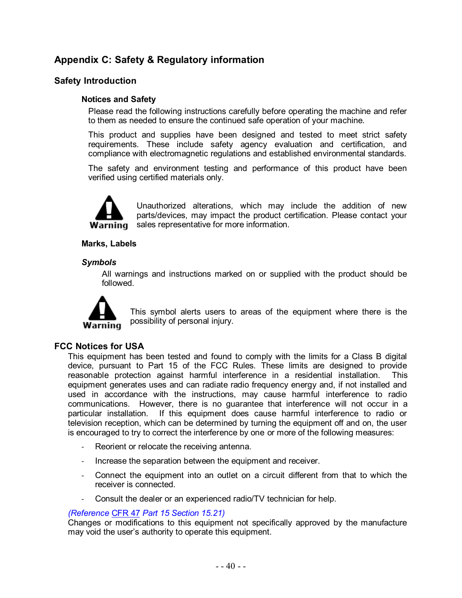### **Appendix C: Safety & Regulatory information**

#### **Safety Introduction**

#### **Notices and Safety**

Please read the following instructions carefully before operating the machine and refer to them as needed to ensure the continued safe operation of your machine.

This product and supplies have been designed and tested to meet strict safety requirements. These include safety agency evaluation and certification, and compliance with electromagnetic regulations and established environmental standards.

The safety and environment testing and performance of this product have been verified using certified materials only.



Unauthorized alterations, which may include the addition of new parts/devices, may impact the product certification. Please contact your **Warning** sales representative for more information.

#### **Marks, Labels**

#### *Symbols*

All warnings and instructions marked on or supplied with the product should be followed.



This symbol alerts users to areas of the equipment where there is the possibility of personal injury.

#### **FCC Notices for USA**

This equipment has been tested and found to comply with the limits for a Class B digital device, pursuant to Part 15 of the FCC Rules. These limits are designed to provide reasonable protection against harmful interference in a residential installation. This equipment generates uses and can radiate radio frequency energy and, if not installed and used in accordance with the instructions, may cause harmful interference to radio communications. However, there is no guarantee that interference will not occur in a particular installation. If this equipment does cause harmful interference to radio or television reception, which can be determined by turning the equipment off and on, the user is encouraged to try to correct the interference by one or more of the following measures:

- Reorient or relocate the receiving antenna.
- Increase the separation between the equipment and receiver.
- Connect the equipment into an outlet on a circuit different from that to which the receiver is connected.
- Consult the dealer or an experienced radio/TV technician for help.

#### *(Reference*CFR 47 *Part 15 Section 15.21)*

Changes or modifications to this equipment not specifically approved by the manufacture may void the user's authority to operate this equipment.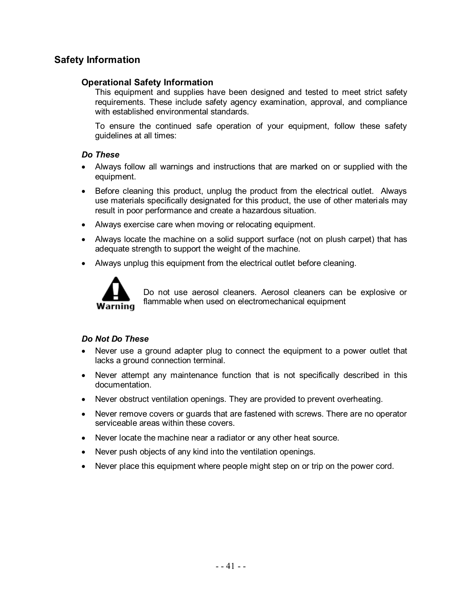### **Safety Information**

#### **Operational Safety Information**

This equipment and supplies have been designed and tested to meet strict safety requirements. These include safety agency examination, approval, and compliance with established environmental standards.

To ensure the continued safe operation of your equipment, follow these safety guidelines at all times:

#### *Do These*

- Always follow all warnings and instructions that are marked on or supplied with the equipment.
- Before cleaning this product, unplug the product from the electrical outlet. Always use materials specifically designated for this product, the use of other materials may result in poor performance and create a hazardous situation.
- Always exercise care when moving or relocating equipment.
- Always locate the machine on a solid support surface (not on plush carpet) that has adequate strength to support the weight of the machine.
- Always unplug this equipment from the electrical outlet before cleaning.



Do not use aerosol cleaners. Aerosol cleaners can be explosive or flammable when used on electromechanical equipment

#### *Do Not Do These*

- Never use a ground adapter plug to connect the equipment to a power outlet that lacks a ground connection terminal.
- Never attempt any maintenance function that is not specifically described in this documentation.
- Never obstruct ventilation openings. They are provided to prevent overheating.
- Never remove covers or guards that are fastened with screws. There are no operator serviceable areas within these covers.
- Never locate the machine near a radiator or any other heat source.
- Never push objects of any kind into the ventilation openings.
- Never place this equipment where people might step on or trip on the power cord.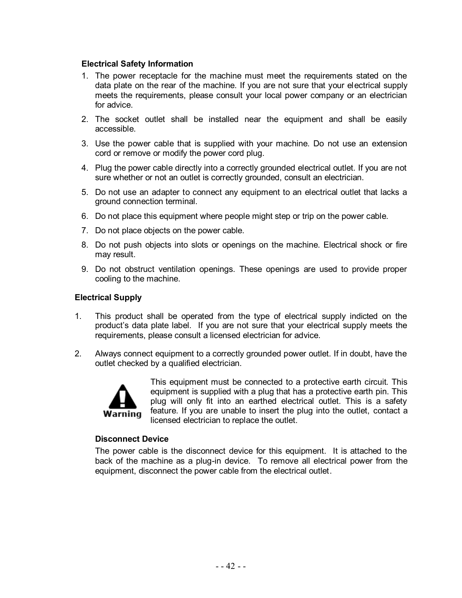#### **Electrical Safety Information**

- 1. The power receptacle for the machine must meet the requirements stated on the data plate on the rear of the machine. If you are not sure that your electrical supply meets the requirements, please consult your local power company or an electrician for advice.
- 2. The socket outlet shall be installed near the equipment and shall be easily accessible.
- 3. Use the power cable that is supplied with your machine. Do not use an extension cord or remove or modify the power cord plug.
- 4. Plug the power cable directly into a correctly grounded electrical outlet. If you are not sure whether or not an outlet is correctly grounded, consult an electrician.
- 5. Do not use an adapter to connect any equipment to an electrical outlet that lacks a ground connection terminal.
- 6. Do not place this equipment where people might step or trip on the power cable.
- 7. Do not place objects on the power cable.
- 8. Do not push objects into slots or openings on the machine. Electrical shock or fire may result.
- 9. Do not obstruct ventilation openings. These openings are used to provide proper cooling to the machine.

#### **Electrical Supply**

- 1. This product shall be operated from the type of electrical supply indicted on the product's data plate label. If you are not sure that your electrical supply meets the requirements, please consult a licensed electrician for advice.
- 2. Always connect equipment to a correctly grounded power outlet. If in doubt, have the outlet checked by a qualified electrician.



This equipment must be connected to a protective earth circuit. This equipment is supplied with a plug that has a protective earth pin. This plug will only fit into an earthed electrical outlet. This is a safety feature. If you are unable to insert the plug into the outlet, contact a licensed electrician to replace the outlet.

#### **Disconnect Device**

The power cable is the disconnect device for this equipment. It is attached to the back of the machine as a plug-in device. To remove all electrical power from the equipment, disconnect the power cable from the electrical outlet.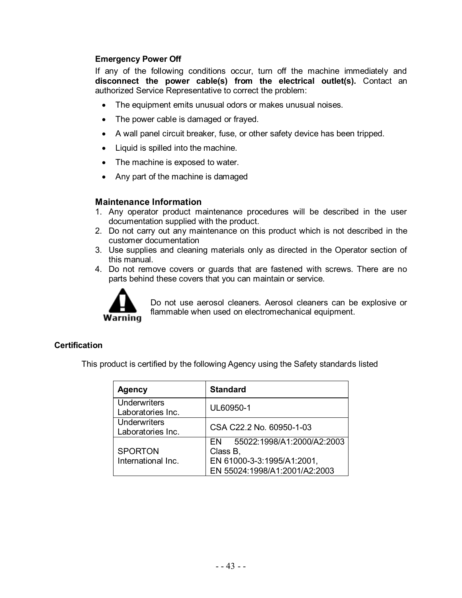#### **Emergency Power Off**

If any of the following conditions occur, turn off the machine immediately and **disconnect the power cable(s) from the electrical outlet(s).** Contact an authorized Service Representative to correct the problem:

- The equipment emits unusual odors or makes unusual noises.
- The power cable is damaged or frayed.
- A wall panel circuit breaker, fuse, or other safety device has been tripped.
- Liquid is spilled into the machine.
- The machine is exposed to water.
- Any part of the machine is damaged

#### **Maintenance Information**

- 1. Any operator product maintenance procedures will be described in the user documentation supplied with the product.
- 2. Do not carry out any maintenance on this product which is not described in the customer documentation
- 3. Use supplies and cleaning materials only as directed in the Operator section of this manual.
- 4. Do not remove covers or guards that are fastened with screws. There are no parts behind these covers that you can maintain or service.



Do not use aerosol cleaners. Aerosol cleaners can be explosive or flammable when used on electromechanical equipment.

#### **Certification**

This product is certified by the following Agency using the Safety standards listed

| <b>Agency</b>                            | <b>Standard</b>                                                                                              |
|------------------------------------------|--------------------------------------------------------------------------------------------------------------|
| <b>Underwriters</b><br>Laboratories Inc. | UL60950-1                                                                                                    |
| Underwriters<br>Laboratories Inc.        | CSA C22.2 No. 60950-1-03                                                                                     |
| <b>SPORTON</b><br>International Inc.     | 55022:1998/A1:2000/A2:2003<br>FN.<br>Class B,<br>EN 61000-3-3:1995/A1:2001,<br>EN 55024:1998/A1:2001/A2:2003 |